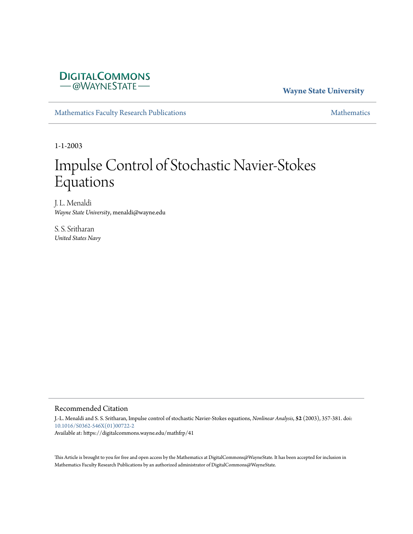### **DIGITALCOMMONS** - @WAYNESTATE-

### **Wayne State University**

[Mathematics Faculty Research Publications](https://digitalcommons.wayne.edu/mathfrp) **[Mathematics](https://digitalcommons.wayne.edu/math)** Mathematics

1-1-2003

# Impulse Control of Stochastic Navier-Stokes Equations

J. L. Menaldi *Wayne State University*, menaldi@wayne.edu

S. S. Sritharan *United States Navy*

#### Recommended Citation

J.-L. Menaldi and S. S. Sritharan, Impulse control of stochastic Navier-Stokes equations, *Nonlinear Analysis*, **52** (2003), 357-381. doi: [10.1016/S0362-546X\(01\)00722-2](https://dx.doi.org/10.1016/S0362-546X(01)00722-2) Available at: https://digitalcommons.wayne.edu/mathfrp/41

This Article is brought to you for free and open access by the Mathematics at DigitalCommons@WayneState. It has been accepted for inclusion in Mathematics Faculty Research Publications by an authorized administrator of DigitalCommons@WayneState.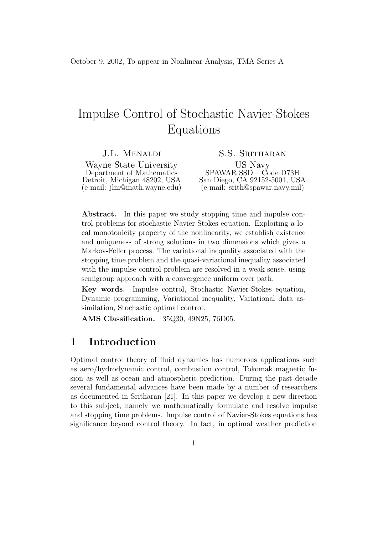## Impulse Control of Stochastic Navier-Stokes Equations

J.L. Menaldi Wayne State University Department of Mathematics Detroit, Michigan 48202, USA (e-mail: jlm@math.wayne.edu) S.S. Sritharan

US Navy SPAWAR SSD – Code D73H San Diego, CA 92152-5001, USA (e-mail: srith@spawar.navy.mil)

**Abstract.** In this paper we study stopping time and impulse control problems for stochastic Navier-Stokes equation. Exploiting a local monotonicity property of the nonlinearity, we establish existence and uniqueness of strong solutions in two dimensions which gives a Markov-Feller process. The variational inequality associated with the stopping time problem and the quasi-variational inequality associated with the impulse control problem are resolved in a weak sense, using semigroup approach with a convergence uniform over path.

**Key words.** Impulse control, Stochastic Navier-Stokes equation, Dynamic programming, Variational inequality, Variational data assimilation, Stochastic optimal control.

**AMS Classification.** 35Q30, 49N25, 76D05.

### **1 Introduction**

Optimal control theory of fluid dynamics has numerous applications such as aero/hydrodynamic control, combustion control, Tokomak magnetic fusion as well as ocean and atmospheric prediction. During the past decade several fundamental advances have been made by a number of researchers as documented in Sritharan [21]. In this paper we develop a new direction to this subject, namely we mathematically formulate and resolve impulse and stopping time problems. Impulse control of Navier-Stokes equations has significance beyond control theory. In fact, in optimal weather prediction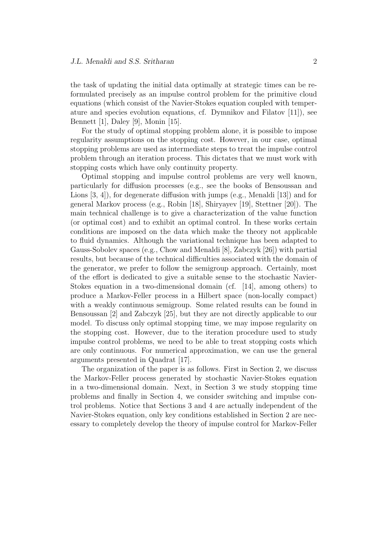the task of updating the initial data optimally at strategic times can be reformulated precisely as an impulse control problem for the primitive cloud equations (which consist of the Navier-Stokes equation coupled with temperature and species evolution equations, cf. Dymnikov and Filatov [11]), see Bennett [1], Daley [9], Monin [15].

For the study of optimal stopping problem alone, it is possible to impose regularity assumptions on the stopping cost. However, in our case, optimal stopping problems are used as intermediate steps to treat the impulse control problem through an iteration process. This dictates that we must work with stopping costs which have only continuity property.

Optimal stopping and impulse control problems are very well known, particularly for diffusion processes (e.g., see the books of Bensoussan and Lions [3, 4]), for degenerate diffusion with jumps (e.g., Menaldi [13]) and for general Markov process (e.g., Robin [18], Shiryayev [19], Stettner [20]). The main technical challenge is to give a characterization of the value function (or optimal cost) and to exhibit an optimal control. In these works certain conditions are imposed on the data which make the theory not applicable to fluid dynamics. Although the variational technique has been adapted to Gauss-Sobolev spaces (e.g., Chow and Menaldi [8], Zabczyk [26]) with partial results, but because of the technical difficulties associated with the domain of the generator, we prefer to follow the semigroup approach. Certainly, most of the effort is dedicated to give a suitable sense to the stochastic Navier-Stokes equation in a two-dimensional domain (cf. [14], among others) to produce a Markov-Feller process in a Hilbert space (non-locally compact) with a weakly continuous semigroup. Some related results can be found in Bensoussan [2] and Zabczyk [25], but they are not directly applicable to our model. To discuss only optimal stopping time, we may impose regularity on the stopping cost. However, due to the iteration procedure used to study impulse control problems, we need to be able to treat stopping costs which are only continuous. For numerical approximation, we can use the general arguments presented in Quadrat [17].

The organization of the paper is as follows. First in Section 2, we discuss the Markov-Feller process generated by stochastic Navier-Stokes equation in a two-dimensional domain. Next, in Section 3 we study stopping time problems and finally in Section 4, we consider switching and impulse control problems. Notice that Sections 3 and 4 are actually independent of the Navier-Stokes equation, only key conditions established in Section 2 are necessary to completely develop the theory of impulse control for Markov-Feller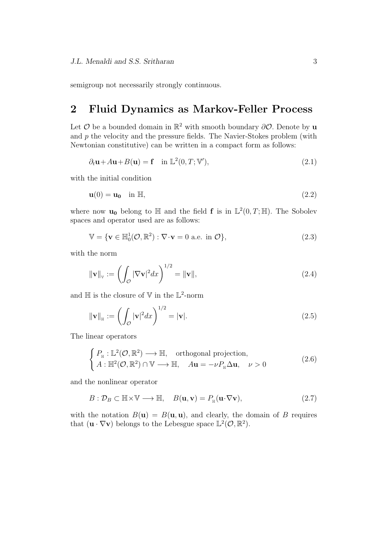semigroup not necessarily strongly continuous.

### **2 Fluid Dynamics as Markov-Feller Process**

Let  $\mathcal O$  be a bounded domain in  $\mathbb R^2$  with smooth boundary  $\partial \mathcal O$ . Denote by **u** and *p* the velocity and the pressure fields. The Navier-Stokes problem (with Newtonian constitutive) can be written in a compact form as follows:

$$
\partial_t \mathbf{u} + A \mathbf{u} + B(\mathbf{u}) = \mathbf{f} \quad \text{in } \mathbb{L}^2(0, T; \mathbb{V}'), \tag{2.1}
$$

with the initial condition

$$
\mathbf{u}(0) = \mathbf{u_0} \quad \text{in } \mathbb{H},\tag{2.2}
$$

where now  $\mathbf{u_0}$  belong to  $\mathbb H$  and the field **f** is in  $\mathbb L^2(0,T;\mathbb H)$ . The Sobolev spaces and operator used are as follows:

$$
\mathbb{V} = \{ \mathbf{v} \in \mathbb{H}_0^1(\mathcal{O}, \mathbb{R}^2) : \nabla \cdot \mathbf{v} = 0 \text{ a.e. in } \mathcal{O} \},
$$
\n(2.3)

with the norm

$$
\|\mathbf{v}\|_{\mathbf{v}} := \left(\int_{\mathcal{O}} |\nabla \mathbf{v}|^2 dx\right)^{1/2} = \|\mathbf{v}\|,\tag{2.4}
$$

and  $\mathbb H$  is the closure of  $\mathbb V$  in the  $\mathbb L^2$ -norm

$$
\|\mathbf{v}\|_{\mathbb{H}} := \left(\int_{\mathcal{O}} |\mathbf{v}|^2 dx\right)^{1/2} = |\mathbf{v}|.\tag{2.5}
$$

The linear operators

$$
\begin{cases}\nP_{\mathbb{H}} : \mathbb{L}^{2}(\mathcal{O}, \mathbb{R}^{2}) \longrightarrow \mathbb{H}, & \text{orthogonal projection,} \\
A : \mathbb{H}^{2}(\mathcal{O}, \mathbb{R}^{2}) \cap \mathbb{V} \longrightarrow \mathbb{H}, & A\mathbf{u} = -\nu P_{\mathbb{H}}\Delta\mathbf{u}, \quad \nu > 0\n\end{cases}
$$
\n(2.6)

and the nonlinear operator

$$
B: \mathcal{D}_B \subset \mathbb{H} \times \mathbb{V} \longrightarrow \mathbb{H}, \quad B(\mathbf{u}, \mathbf{v}) = P_{\mathbb{H}}(\mathbf{u} \cdot \nabla \mathbf{v}), \tag{2.7}
$$

with the notation  $B(\mathbf{u}) = B(\mathbf{u}, \mathbf{u})$ , and clearly, the domain of *B* requires that  $(\mathbf{u} \cdot \nabla \mathbf{v})$  belongs to the Lebesgue space  $\mathbb{L}^2(\mathcal{O}, \mathbb{R}^2)$ .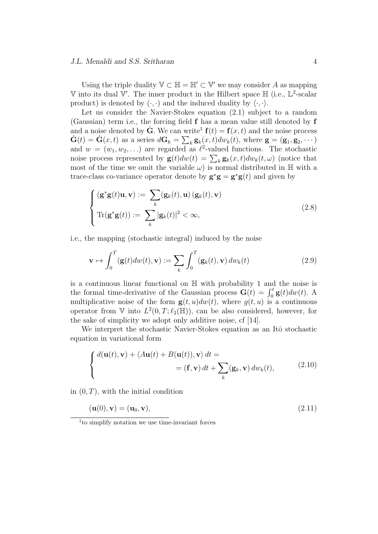Using the triple duality  $\mathbb{V} \subset \mathbb{H} = \mathbb{H}' \subset \mathbb{V}'$  we may consider A as mapping **V** into its dual **V'**. The inner product in the Hilbert space  $\mathbb{H}$  (i.e.,  $\mathbb{L}^2$ -scalar product) is denoted by  $(\cdot, \cdot)$  and the induced duality by  $\langle \cdot, \cdot \rangle$ .

Let us consider the Navier-Stokes equation (2.1) subject to a random (Gaussian) term i.e., the forcing field **f** has a mean value still denoted by **f** and a noise denoted by  $\dot{G}$ . We can write<sup>1</sup>  $f(t) = f(x, t)$  and the noise process  $\dot{\mathbf{G}}(t) = \dot{\mathbf{G}}(x,t)$  as a series  $d\mathbf{G}_k = \sum_k \mathbf{g}_k(x,t) dw_k(t)$ , where  $\mathbf{g} = (\mathbf{g}_1, \mathbf{g}_2, \cdots)$ and  $w = (w_1, w_2, \ldots)$  are regarded as  $\ell^2$ -valued functions. The stochastic noise process represented by  $\mathbf{g}(t)dw(t) = \sum_{k} \mathbf{g}_k(x,t)dw_k(t,\omega)$  (notice that most of the time we omit the variable  $\omega$ ) is normal distributed in  $\mathbb H$  with a trace-class co-variance operator denote by  $\mathbf{g}^* \mathbf{g} = \mathbf{g}^* \mathbf{g}(t)$  and given by

$$
\begin{cases}\n(\mathbf{g}^*\mathbf{g}(t)\mathbf{u}, \mathbf{v}) := \sum_k (\mathbf{g}_k(t), \mathbf{u}) (\mathbf{g}_k(t), \mathbf{v}) \\
\text{Tr}(\mathbf{g}^*\mathbf{g}(t)) := \sum_k |\mathbf{g}_k(t)|^2 < \infty,\n\end{cases} \tag{2.8}
$$

i.e., the mapping (stochastic integral) induced by the noise

$$
\mathbf{v} \mapsto \int_0^T (\mathbf{g}(t)dw(t), \mathbf{v}) := \sum_k \int_0^T (\mathbf{g}_k(t), \mathbf{v}) dw_k(t)
$$
 (2.9)

is a continuous linear functional on H with probability 1 and the noise is the formal time-derivative of the Gaussian process  $\mathbf{G}(t) = \int_0^t \mathbf{g}(t)dw(t)$ . A multiplicative noise of the form  $\mathbf{g}(t, u)dw(t)$ , where  $g(t, u)$  is a continuous operator from V into  $L^2(0,T;\ell_2(\mathbb{H}))$ , can be also considered, however, for the sake of simplicity we adopt only additive noise, cf [14].

We interpret the stochastic Navier-Stokes equation as an Itô stochastic equation in variational form

$$
\begin{cases} d(\mathbf{u}(t), \mathbf{v}) + \langle A\mathbf{u}(t) + B(\mathbf{u}(t)), \mathbf{v} \rangle dt = \\qquad \qquad = (\mathbf{f}, \mathbf{v}) dt + \sum_{k} (\mathbf{g}_k, \mathbf{v}) dw_k(t), \end{cases} \tag{2.10}
$$

in  $(0, T)$ , with the initial condition

$$
(\mathbf{u}(0), \mathbf{v}) = (\mathbf{u}_0, \mathbf{v}),\tag{2.11}
$$

<sup>1</sup> to simplify notation we use time-invariant forces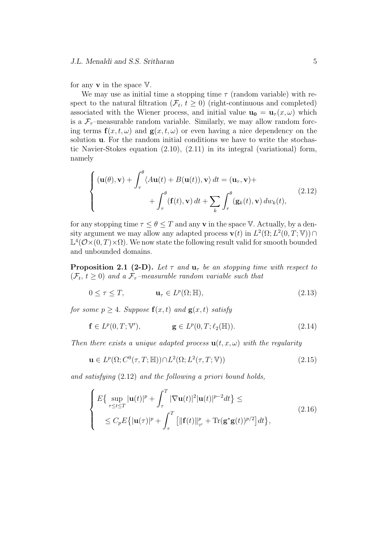for any **v** in the space V*.*

We may use as initial time a stopping time  $\tau$  (random variable) with respect to the natural filtration  $(\mathcal{F}_t, t \geq 0)$  (right-continuous and completed) associated with the Wiener process, and initial value  $\mathbf{u}_0 = \mathbf{u}_\tau(x,\omega)$  which is a  $\mathcal{F}_{\tau}$ -measurable random variable. Similarly, we may allow random forcing terms  $f(x, t, \omega)$  and  $g(x, t, \omega)$  or even having a nice dependency on the solution **u***.* For the random initial conditions we have to write the stochastic Navier-Stokes equation (2.10), (2.11) in its integral (variational) form, namely

$$
\begin{cases}\n(\mathbf{u}(\theta), \mathbf{v}) + \int_{\tau}^{\theta} \langle A\mathbf{u}(t) + B(\mathbf{u}(t)), \mathbf{v} \rangle dt = (\mathbf{u}_{\tau}, \mathbf{v}) + \\
+ \int_{\tau}^{\theta} (\mathbf{f}(t), \mathbf{v}) dt + \sum_{k} \int_{\tau}^{\theta} (\mathbf{g}_{k}(t), \mathbf{v}) dw_{k}(t),\n\end{cases}
$$
\n(2.12)

for any stopping time  $\tau \leq \theta \leq T$  and any **v** in the space V. Actually, by a density argument we may allow any adapted process  $\mathbf{v}(t)$  in  $L^2(\Omega; L^2(0,T; \mathbb{V})) \cap$  $\mathbb{L}^4(\mathcal{O}\times(0,T)\times\Omega)$ . We now state the following result valid for smooth bounded and unbounded domains.

**Proposition 2.1 (2-D).** Let  $\tau$  and  $\mathbf{u}_{\tau}$  be an stopping time with respect to  $(\mathcal{F}_t, t \geq 0)$  *and a*  $\mathcal{F}_\tau$ -measurable random variable such that

$$
0 \le \tau \le T, \qquad \qquad \mathbf{u}_{\tau} \in L^{p}(\Omega; \mathbb{H}), \tag{2.13}
$$

*for some*  $p \geq 4$ *. Suppose*  $f(x, t)$  *and*  $g(x, t)$  *satisfy* 

$$
\mathbf{f} \in L^p(0, T; \mathbb{V}'), \qquad \mathbf{g} \in L^p(0, T; \ell_2(\mathbb{H})). \tag{2.14}
$$

*Then there exists a unique adapted process*  $\mathbf{u}(t, x, \omega)$  *with the regularity* 

$$
\mathbf{u} \in L^p(\Omega; C^0(\tau, T; \mathbb{H})) \cap L^2(\Omega; L^2(\tau, T; \mathbb{V}))
$$
\n(2.15)

*and satisfying* (2.12) *and the following a priori bound holds,*

$$
\begin{cases}\nE\{\sup_{\tau \le t \le T} |\mathbf{u}(t)|^p + \int_{\tau}^T |\nabla \mathbf{u}(t)|^2 |\mathbf{u}(t)|^{p-2} dt\} \le \\
\le C_p E\{|\mathbf{u}(\tau)|^p + \int_{\tau}^T \left[ ||\mathbf{f}(t)||_{\mathbf{v}'}^p + \text{Tr}(\mathbf{g}^* \mathbf{g}(t))^{p/2} \right] dt\},\n\end{cases} (2.16)
$$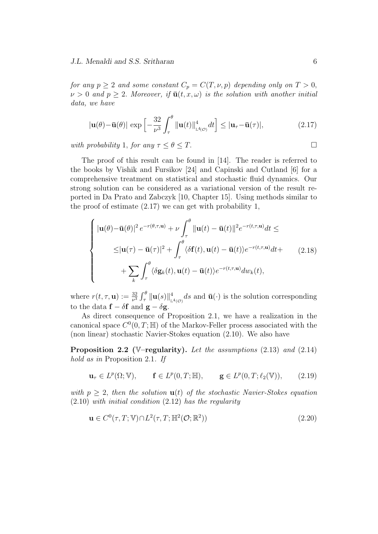*for any*  $p \geq 2$  *and some constant*  $C_p = C(T, \nu, p)$  *depending only on*  $T > 0$ *,*  $\nu > 0$  *and*  $p > 2$ *. Moreover, if*  $\bar{u}(t, x, \omega)$  *is the solution with another initial data, we have*

$$
|\mathbf{u}(\theta) - \bar{\mathbf{u}}(\theta)| \exp\left[-\frac{32}{\nu^3} \int_{\tau}^{\theta} ||\mathbf{u}(t)||_{\mathbb{L}^4(\mathcal{O})}^4 dt\right] \le |\mathbf{u}_{\tau} - \bar{\mathbf{u}}(\tau)|, \tag{2.17}
$$

*with probability* 1*, for any*  $\tau \leq \theta \leq T$ .

The proof of this result can be found in [14]. The reader is referred to the books by Vishik and Fursikov [24] and Capinski and Cutland [6] for a comprehensive treatment on statistical and stochastic fluid dynamics. Our strong solution can be considered as a variational version of the result reported in Da Prato and Zabczyk [10, Chapter 15]. Using methods similar to the proof of estimate (2.17) we can get with probability 1,

$$
\begin{cases}\n|\mathbf{u}(\theta) - \bar{\mathbf{u}}(\theta)|^2 e^{-r(\theta,\tau,\mathbf{u})} + \nu \int_{\tau}^{\theta} ||\mathbf{u}(t) - \bar{\mathbf{u}}(t)||^2 e^{-r(t,\tau,\mathbf{u})} dt \leq \\
\leq |\mathbf{u}(\tau) - \bar{\mathbf{u}}(\tau)|^2 + \int_{\tau}^{\theta} \langle \delta \mathbf{f}(t), \mathbf{u}(t) - \bar{\mathbf{u}}(t) \rangle e^{-r(t,\tau,\mathbf{u})} dt + \n\end{cases} \tag{2.18}
$$
\n
$$
+ \sum_{k} \int_{\tau}^{\theta} \langle \delta \mathbf{g}_k(t), \mathbf{u}(t) - \bar{\mathbf{u}}(t) \rangle e^{-r(t,\tau,\mathbf{u})} dw_k(t),
$$

where  $r(t,\tau,\textbf{u}):=\frac{32}{\nu^3}\int_{\tau}^{\theta} \|\textbf{u}(s)\|_{_{\mathbb{L}}}^4$  $\frac{4}{\mu^4(\mathcal{O})}$  ds and  $\bar{\mathbf{u}}(\cdot)$  is the solution corresponding to the data  $\mathbf{f} - \delta \mathbf{f}$  and  $\mathbf{g} - \delta \mathbf{g}$ .

As direct consequence of Proposition 2.1, we have a realization in the canonical space  $C^0(0,T;\mathbb{H})$  of the Markov-Feller process associated with the (non linear) stochastic Navier-Stokes equation (2.10). We also have

**Proposition 2.2 (**V**–regularity).** *Let the assumptions* (2.13) *and* (2.14) *hold as in* Proposition 2.1*. If*

$$
\mathbf{u}_{\tau} \in L^p(\Omega; \mathbb{V}), \qquad \mathbf{f} \in L^p(0, T; \mathbb{H}), \qquad \mathbf{g} \in L^p(0, T; \ell_2(\mathbb{V})), \qquad (2.19)
$$

*with*  $p \geq 2$ , *then the solution*  $\mathbf{u}(t)$  *of the stochastic Navier-Stokes equation* (2.10) *with initial condition* (2.12) *has the regularity*

$$
\mathbf{u} \in C^0(\tau, T; \mathbb{V}) \cap L^2(\tau, T; \mathbb{H}^2(\mathcal{O}; \mathbb{R}^2))
$$
\n(2.20)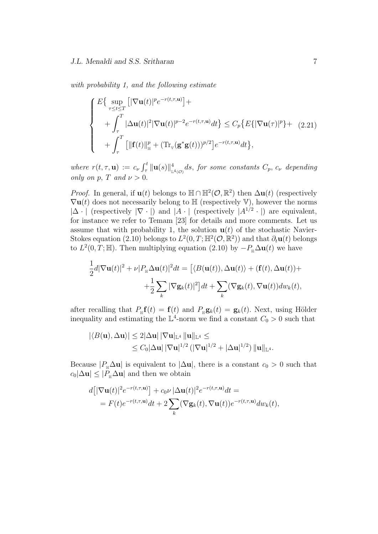*with probability 1, and the following estimate*

$$
\begin{cases}\nE\{\sup_{\tau\leq t\leq T}\left[|\nabla \mathbf{u}(t)|^p e^{-r(t,\tau,\mathbf{u})}\right] + \\
\quad + \int_{\tau}^T |\Delta \mathbf{u}(t)|^2 |\nabla \mathbf{u}(t)|^{p-2} e^{-r(t,\tau,\mathbf{u})} dt\} \leq C_p \{E\{|\nabla \mathbf{u}(\tau)|^p\} + (2.21) \\
\quad + \int_{\tau}^T \left[||\mathbf{f}(t)||_{\mathbb{H}}^p + (\text{Tr}_{\mathbb{V}}(\mathbf{g}^*\mathbf{g}(t)))^{p/2}\right] e^{-r(t,\tau,\mathbf{u})} dt\},\n\end{cases}
$$

 $where \ r(t, \tau, \mathbf{u}) := c_{\nu} \int_{\tau}^{t} ||\mathbf{u}(s)||_{L}^{4}$  $\int_{\mathbb{L}^4(\mathcal{O})}^4 ds$ , for some constants  $C_p$ ,  $c_\nu$  depending *only on p*, *T* and  $\nu > 0$ .

*Proof.* In general, if **u**(*t*) belongs to  $\mathbb{H} \cap \mathbb{H}^2(\mathcal{O}, \mathbb{R}^2)$  then  $\Delta$ **u**(*t*) (respectively  $\nabla$ **u**(*t*) does not necessarily belong to  $\mathbb{H}$  (respectively  $\mathbb{V}$ ), however the norms *|*∆ *· |* (respectively *|∇ · |*) and *|A · |* (respectively *|A*<sup>1</sup>*/*<sup>2</sup> *· |*) are equivalent, for instance we refer to Temam [23] for details and more comments. Let us assume that with probability 1, the solution  $\mathbf{u}(t)$  of the stochastic Navier-Stokes equation (2.10) belongs to  $L^2(0,T;\mathbb{H}^2(\mathcal{O},\mathbb{R}^2))$  and that  $\partial_t \mathbf{u}(t)$  belongs to  $L^2(0,T;\mathbb{H})$ . Then multiplying equation (2.10) by  $-P_{\mathbb{H}}\Delta\mathbf{u}(t)$  we have

$$
\frac{1}{2}d|\nabla \mathbf{u}(t)|^2 + \nu|P_{\mathbb{H}}\Delta \mathbf{u}(t)|^2 dt = \left[ \langle B(\mathbf{u}(t)), \Delta \mathbf{u}(t) \rangle + (\mathbf{f}(t), \Delta \mathbf{u}(t)) + \frac{1}{2} \sum_k |\nabla \mathbf{g}_k(t)|^2 \right] dt + \sum_k (\nabla \mathbf{g}_k(t), \nabla \mathbf{u}(t)) dw_k(t),
$$

after recalling that  $P_{\mathbb{H}}\mathbf{f}(t) = \mathbf{f}(t)$  and  $P_{\mathbb{H}}\mathbf{g}_k(t) = \mathbf{g}_k(t)$ . Next, using Hölder inequality and estimating the  $\mathbb{L}^4$ -norm we find a constant  $C_0 > 0$  such that

$$
|\langle B(\mathbf{u}), \Delta \mathbf{u} \rangle| \leq 2|\Delta \mathbf{u}| |\nabla \mathbf{u}|_{\mathbb{L}^4} ||\mathbf{u}||_{\mathbb{L}^4} \le
$$
  
  $\leq C_0 |\Delta \mathbf{u}| |\nabla \mathbf{u}|^{1/2} (|\nabla \mathbf{u}|^{1/2} + |\Delta \mathbf{u}|^{1/2}) ||\mathbf{u}||_{\mathbb{L}^4}.$ 

Because  $|P_{\mu}\Delta\mathbf{u}|$  is equivalent to  $|\Delta\mathbf{u}|$ , there is a constant  $c_0 > 0$  such that  $|c_0|\Delta u| \leq |P_{\text{H}}\Delta u|$  and then we obtain

$$
d\big[|\nabla \mathbf{u}(t)|^2 e^{-r(t,\tau,\mathbf{u})}\big] + c_0 \nu |\Delta \mathbf{u}(t)|^2 e^{-r(t,\tau,\mathbf{u})} dt =
$$
  
=  $F(t) e^{-r(t,\tau,\mathbf{u})} dt + 2 \sum_k (\nabla \mathbf{g}_k(t), \nabla \mathbf{u}(t)) e^{-r(t,\tau,\mathbf{u})} dw_k(t),$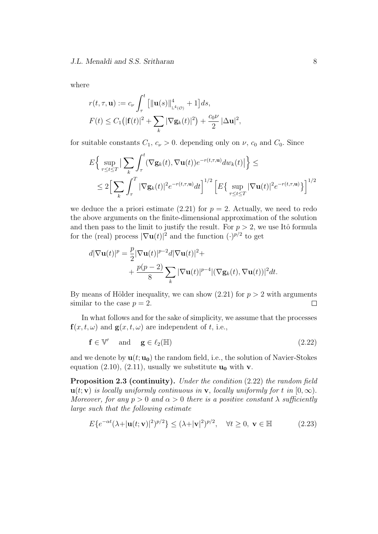where

$$
r(t, \tau, \mathbf{u}) := c_{\nu} \int_{\tau}^{t} \left[ \|\mathbf{u}(s)\|_{\mathbb{L}^{4}(\mathcal{O})}^{4} + 1 \right] ds,
$$
  

$$
F(t) \leq C_{1} \left( |\mathbf{f}(t)|^{2} + \sum_{k} |\nabla \mathbf{g}_{k}(t)|^{2} \right) + \frac{c_{0} \nu}{2} |\Delta \mathbf{u}|^{2},
$$

for suitable constants  $C_1$ ,  $c_\nu > 0$ . depending only on  $\nu$ ,  $c_0$  and  $C_0$ . Since

$$
E\Big\{\sup_{\tau\leq t\leq T}\Big|\sum_{k}\int_{\tau}^{t}(\nabla\mathbf{g}_{k}(t),\nabla\mathbf{u}(t))e^{-r(t,\tau,\mathbf{u})}dw_{k}(t)\Big|\Big\}\leq
$$
  

$$
\leq 2\Big[\sum_{k}\int_{\tau}^{T}|\nabla\mathbf{g}_{k}(t)|^{2}e^{-r(t,\tau,\mathbf{u})}dt\Big]^{1/2}\Big[E\{\sup_{\tau\leq t\leq T}|\nabla\mathbf{u}(t)|^{2}e^{-r(t,\tau,\mathbf{u})}\}\Big]^{1/2}
$$

we deduce the a priori estimate  $(2.21)$  for  $p = 2$ . Actually, we need to redo the above arguments on the finite-dimensional approximation of the solution and then pass to the limit to justify the result. For  $p > 2$ , we use Itô formula for the (real) process  $|\nabla \mathbf{u}(t)|^2$  and the function  $(\cdot)^{p/2}$  to get

$$
d|\nabla \mathbf{u}(t)|^p = \frac{p}{2} |\nabla \mathbf{u}(t)|^{p-2} d|\nabla \mathbf{u}(t)|^2 +
$$
  
+ 
$$
\frac{p(p-2)}{8} \sum_{k} |\nabla \mathbf{u}(t)|^{p-4} |(\nabla \mathbf{g}_k(t), \nabla \mathbf{u}(t))|^2 dt.
$$

By means of Hölder inequality, we can show  $(2.21)$  for  $p > 2$  with arguments similar to the case  $p = 2$ .  $\Box$ 

In what follows and for the sake of simplicity, we assume that the processes  $f(x, t, \omega)$  and  $g(x, t, \omega)$  are independent of t, i.e.,

$$
\mathbf{f} \in \mathbb{V}' \quad \text{and} \quad \mathbf{g} \in \ell_2(\mathbb{H}) \tag{2.22}
$$

and we denote by  $\mathbf{u}(t; \mathbf{u_0})$  the random field, i.e., the solution of Navier-Stokes equation (2.10), (2.11), usually we substitute  $\mathbf{u}_0$  with **v**.

**Proposition 2.3 (continuity).** *Under the condition* (2.22) *the random field*  $\mathbf{u}(t; \mathbf{v})$  *is locally uniformly continuous in* **v***, locally uniformly for t in*  $[0, \infty)$ *. Moreover, for any*  $p > 0$  *and*  $\alpha > 0$  *there is a positive constant*  $\lambda$  *sufficiently large such that the following estimate*

$$
E\{e^{-\alpha t}(\lambda+|\mathbf{u}(t;\mathbf{v})|^2)^{p/2}\} \le (\lambda+|\mathbf{v}|^2)^{p/2}, \quad \forall t \ge 0, \ \mathbf{v} \in \mathbb{H}
$$
 (2.23)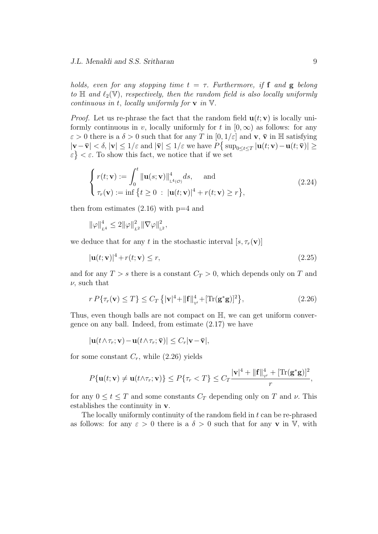*holds, even for any stopping time*  $t = \tau$ . *Furthermore, if* **f** *and* **g** *belong to*  $\mathbb{H}$  *and*  $\ell_2(\mathbb{V})$ *, respectively, then the random field is also locally uniformly continuous in t, locally uniformly for* **v** *in* V*.*

*Proof.* Let us re-phrase the fact that the random field  $\mathbf{u}(t; \mathbf{v})$  is locally uniformly continuous in *v*, locally uniformly for *t* in  $[0, \infty)$  as follows: for any  $\varepsilon > 0$  there is a  $\delta > 0$  such that for any *T* in [0, 1/ $\varepsilon$ ] and **v**, **v** in H satisfying  $|\mathbf{v} - \bar{\mathbf{v}}| < \delta, |\mathbf{v}| \leq 1/\varepsilon$  and  $|\bar{\mathbf{v}}| \leq 1/\varepsilon$  we have  $P\left\{\sup_{0 \leq t \leq T} |\mathbf{u}(t; \mathbf{v}) - \mathbf{u}(t; \bar{\mathbf{v}})| \geq \delta\right\}$  $\{\varepsilon\} < \varepsilon$ . To show this fact, we notice that if we set

$$
\begin{cases}\nr(t; \mathbf{v}) := \int_0^t \|\mathbf{u}(s; \mathbf{v})\|_{\mathbb{L}^4(\mathcal{O})}^4 ds, \quad \text{and} \\
\tau_r(\mathbf{v}) := \inf \left\{ t \ge 0 \; : \; |\mathbf{u}(t; \mathbf{v})|^4 + r(t; \mathbf{v}) \ge r \right\},\n\end{cases} \tag{2.24}
$$

then from estimates  $(2.16)$  with  $p=4$  and

$$
\|\varphi\|_{_{L^4}}^4 \le 2 \|\varphi\|_{_{L^2}}^2 \|\nabla \varphi\|_{_{\mathbb{L}^2}}^2,
$$

we deduce that for any *t* in the stochastic interval  $[s, \tau_r(\mathbf{v})]$ 

$$
|\mathbf{u}(t; \mathbf{v})|^4 + r(t; \mathbf{v}) \le r,\tag{2.25}
$$

and for any  $T > s$  there is a constant  $C_T > 0$ , which depends only on *T* and *ν,* such that

$$
r P\{\tau_r(\mathbf{v}) \le T\} \le C_T \{ |\mathbf{v}|^4 + ||\mathbf{f}||^4_{\mathbf{v}'} + [\text{Tr}(\mathbf{g}^* \mathbf{g})]^2 \},
$$
\n(2.26)

Thus, even though balls are not compact on H*,* we can get uniform convergence on any ball. Indeed, from estimate (2.17) we have

$$
|\mathbf{u}(t\wedge \tau_r;\mathbf{v})-\mathbf{u}(t\wedge \tau_r;\mathbf{\bar{v}})|\leq C_r|\mathbf{v}-\mathbf{\bar{v}}|,
$$

for some constant  $C_r$ , while (2.26) yields

$$
P\{\mathbf{u}(t;\mathbf{v}) \neq \mathbf{u}(t \wedge \tau_r; \mathbf{v})\} \leq P\{\tau_r < T\} \leq C_T \frac{|\mathbf{v}|^4 + ||\mathbf{f}||^4_{\mathbf{v}'} + [\text{Tr}(\mathbf{g}^*\mathbf{g})]^2}{r},
$$

for any  $0 \le t \le T$  and some constants  $C_T$  depending only on  $T$  and  $\nu$ . This establishes the continuity in **v***.*

The locally uniformly continuity of the random field in *t* can be re-phrased as follows: for any  $\varepsilon > 0$  there is a  $\delta > 0$  such that for any **v** in V, with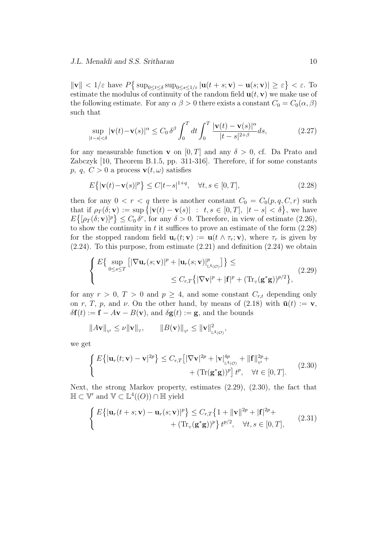$\|\mathbf{v}\| < 1/\varepsilon$  have  $P\{\sup_{0\leq t\leq \delta} \sup_{0\leq s\leq 1/\varepsilon} |\mathbf{u}(t+s;\mathbf{v})-\mathbf{u}(s;\mathbf{v})| \geq \varepsilon\} < \varepsilon$ . To estimate the modulus of continuity of the random field  $\mathbf{u}(t, \mathbf{v})$  we make use of the following estimate. For any  $\alpha \beta > 0$  there exists a constant  $C_0 = C_0(\alpha, \beta)$ such that

$$
\sup_{|t-s|<\delta} |\mathbf{v}(t)-\mathbf{v}(s)|^{\alpha} \le C_0 \delta^{\beta} \int_0^T dt \int_0^T \frac{|\mathbf{v}(t)-\mathbf{v}(s)|^{\alpha}}{|t-s|^{2+\beta}} ds,\tag{2.27}
$$

for any measurable function **v** on  $[0, T]$  and any  $\delta > 0$ , cf. Da Prato and Zabczyk [10, Theorem B.1.5, pp. 311-316]. Therefore, if for some constants *p, q, C >* 0 a process  $\mathbf{v}(t, \omega)$  satisfies

$$
E\left\{|\mathbf{v}(t)-\mathbf{v}(s)|^p\right\} \le C|t-s|^{1+q}, \quad \forall t, s \in [0, T],\tag{2.28}
$$

then for any  $0 < r < q$  there is another constant  $C_0 = C_0(p,q,C,r)$  such that if  $\rho_T(\delta; \mathbf{v}) := \sup \{ |\mathbf{v}(t) - \mathbf{v}(s)| : t, s \in [0, T], |t - s| < \delta \},\$ we have  $E\{[\rho_T(\delta; \mathbf{v})]^p\} \leq C_0 \delta^r$ , for any  $\delta > 0$ . Therefore, in view of estimate (2.26), to show the continuity in *t* it suffices to prove an estimate of the form (2.28) for the stopped random field  $\mathbf{u}_r(t; \mathbf{v}) := \mathbf{u}(t \wedge \tau_r; \mathbf{v})$ , where  $\tau_r$  is given by  $(2.24)$ . To this purpose, from estimate  $(2.21)$  and definition  $(2.24)$  we obtain

$$
\begin{cases}\nE\{\sup_{0\leq s\leq T}\left[|\nabla \mathbf{u}_r(s;\mathbf{v})|^p+|\mathbf{u}_r(s;\mathbf{v})|^p_{\mathbb{L}^4(\mathcal{O})}\right]\} \leq \\
&\leq C_{r,T}\{\left|\nabla \mathbf{v}|^p+|\mathbf{f}|^p+(\text{Tr}_{\mathbb{V}}(\mathbf{g}^*\mathbf{g}))^{p/2}\right\},\n\end{cases} (2.29)
$$

for any  $r > 0$ ,  $T > 0$  and  $p \geq 4$ , and some constant  $C_{r,t}$  depending only on *r*, *T*, *p*, and *v*. On the other hand, by means of (2.18) with  $\bar{u}(t) := v$ ,  $\delta$ **f**(*t*) := **f** *− A***v** *− B*(**v**)*,* and  $\delta$ **g**(*t*) := **g***,* and the bounds

$$
||A\mathbf{v}||_{\mathbf{v'}} \leq \nu ||\mathbf{v}||_{\mathbf{v}}, \qquad ||B(\mathbf{v})||_{\mathbf{v'}} \leq ||\mathbf{v}||_{\mathbb{L}^{4}(\mathcal{O})}^{2},
$$

we get

$$
\begin{cases}\nE\left\{|\mathbf{u}_r(t;\mathbf{v})-\mathbf{v}|^{2p}\right\} \leq C_{r,T}\left[|\nabla\mathbf{v}|^{2p}+|\mathbf{v}|_{\mathbb{L}^4(\mathcal{O})}^{4p}+||\mathbf{f}||_{\mathbb{V}'}^{2p}+\\ \n+ \left(\text{Tr}(\mathbf{g}^*\mathbf{g})\right)^p\right]t^p, \quad \forall t \in [0,T].\n\end{cases} \tag{2.30}
$$

Next, the strong Markov property, estimates (2.29), (2.30), the fact that  $\mathbb{H} \subset \mathbb{V}'$  and  $\mathbb{V} \subset \mathbb{L}^4((O)) \cap \mathbb{H}$  yield

$$
\begin{cases} E\{|{\bf u}_r(t+s;{\bf v})-{\bf u}_r(s;{\bf v})|^p\} \leq C_{r,T}\{1+||{\bf v}||^{2p}+|{\bf f}|^{2p}+\\ \qquad +(\text{Tr}_{\mathbb{V}}({\bf g}^*{\bf g}))^p\}t^{p/2},\quad \forall t,s\in[0,T], \end{cases} (2.31)
$$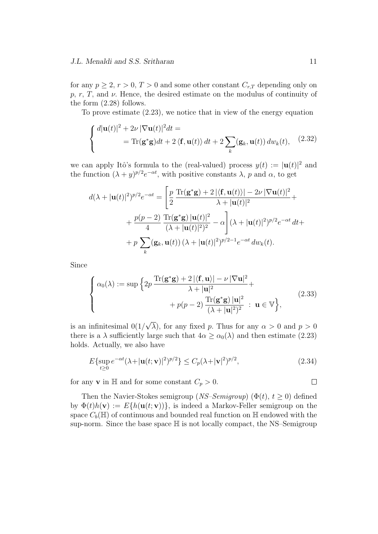for any  $p \geq 2$ ,  $r > 0$ ,  $T > 0$  and some other constant  $C_{r,T}$  depending only on *p, r, T,* and *ν.* Hence, the desired estimate on the modulus of continuity of the form (2.28) follows.

To prove estimate (2.23), we notice that in view of the energy equation

$$
\begin{cases} d|\mathbf{u}(t)|^2 + 2\nu |\nabla \mathbf{u}(t)|^2 dt = \\ = \text{Tr}(\mathbf{g}^* \mathbf{g}) dt + 2 \langle \mathbf{f}, \mathbf{u}(t) \rangle dt + 2 \sum_k (\mathbf{g}_k, \mathbf{u}(t)) dw_k(t), \end{cases} (2.32)
$$

we can apply Itô's formula to the (real-valued) process  $y(t) := |\mathbf{u}(t)|^2$  and the function  $(\lambda + y)^{p/2}e^{-\alpha t}$ , with positive constants  $\lambda$ , p and  $\alpha$ , to get

$$
d(\lambda + |\mathbf{u}(t)|^2)^{p/2} e^{-\alpha t} = \left[ \frac{p}{2} \frac{\text{Tr}(\mathbf{g}^* \mathbf{g}) + 2 |\langle \mathbf{f}, \mathbf{u}(t) \rangle| - 2\nu |\nabla \mathbf{u}(t)|^2}{\lambda + |\mathbf{u}(t)|^2} + \frac{p(p-2)}{4} \frac{\text{Tr}(\mathbf{g}^* \mathbf{g}) |\mathbf{u}(t)|^2}{(\lambda + |\mathbf{u}(t)|^2)^2} - \alpha \right] (\lambda + |\mathbf{u}(t)|^2)^{p/2} e^{-\alpha t} dt +
$$
  
+  $p \sum_k (\mathbf{g}_k, \mathbf{u}(t)) (\lambda + |\mathbf{u}(t)|^2)^{p/2-1} e^{-\alpha t} dw_k(t).$ 

Since

$$
\begin{cases}\n\alpha_0(\lambda) := \sup \left\{ 2p \, \frac{\text{Tr}(\mathbf{g}^* \mathbf{g}) + 2 |\langle \mathbf{f}, \mathbf{u} \rangle| - \nu |\nabla \mathbf{u}|^2}{\lambda + |\mathbf{u}|^2} + \right. \\
\quad + p(p-2) \, \frac{\text{Tr}(\mathbf{g}^* \mathbf{g}) |\mathbf{u}|^2}{(\lambda + |\mathbf{u}|^2)^2} : \mathbf{u} \in \mathbb{V} \right\},\n\end{cases} \tag{2.33}
$$

is an infinitesimal 0(1*/ √ λ*), for any fixed *p*. Thus for any  $\alpha > 0$  and  $p > 0$ there is a  $\lambda$  sufficiently large such that  $4\alpha \geq \alpha_0(\lambda)$  and then estimate (2.23) holds. Actually, we also have

$$
E\{\sup_{t\geq 0}e^{-\alpha t}(\lambda+|\mathbf{u}(t;\mathbf{v})|^2)^{p/2}\} \leq C_p(\lambda+|\mathbf{v}|^2)^{p/2},\tag{2.34}
$$

for any **v** in  $\mathbb{H}$  and for some constant  $C_p > 0$ .

Then the Navier-Stokes semigroup (*NS–Semigroup*) ( $\Phi(t)$ *,*  $t \geq 0$ ) defined by  $\Phi(t)h(\mathbf{v}) := E\{h(\mathbf{u}(t;\mathbf{v}))\}$ , is indeed a Markov-Feller semigroup on the space  $C_b(\mathbb{H})$  of continuous and bounded real function on  $\mathbb{H}$  endowed with the sup-norm. Since the base space  $\mathbb H$  is not locally compact, the NS–Semigroup

 $\Box$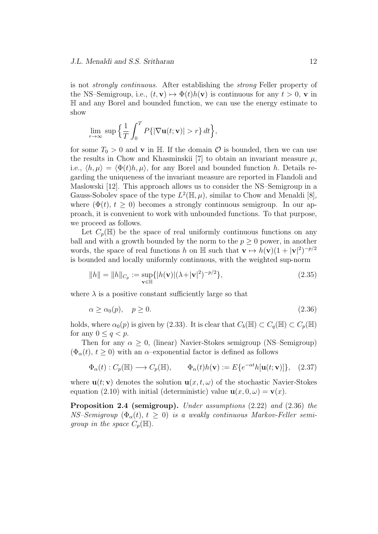is not *strongly continuous*. After establishing the *strong* Feller property of the NS–Semigroup, i.e.,  $(t, \mathbf{v}) \mapsto \Phi(t)h(\mathbf{v})$  is continuous for any  $t > 0$ , **v** in H and any Borel and bounded function, we can use the energy estimate to show

$$
\lim_{r \to \infty} \sup \left\{ \frac{1}{T} \int_0^T P\{|\nabla \mathbf{u}(t; \mathbf{v})| > r \} dt \right\},\
$$

for some  $T_0 > 0$  and **v** in H. If the domain  $\mathcal{O}$  is bounded, then we can use the results in Chow and Khasminskii [7] to obtain an invariant measure  $\mu$ , i.e.,  $\langle h, \mu \rangle = \langle \Phi(t)h, \mu \rangle$ , for any Borel and bounded function *h*. Details regarding the uniqueness of the invariant measure are reported in Flandoli and Maslowski [12]. This approach allows us to consider the NS–Semigroup in a Gauss-Sobolev space of the type  $L^2(\mathbb{H}, \mu)$ , similar to Chow and Menaldi [8], where  $(\Phi(t), t \geq 0)$  becomes a strongly continuous semigroup. In our approach, it is convenient to work with unbounded functions. To that purpose, we proceed as follows.

Let  $C_p(\mathbb{H})$  be the space of real uniformly continuous functions on any ball and with a growth bounded by the norm to the *p ≥* 0 power, in another words, the space of real functions *h* on  $\mathbb{H}$  such that  $\mathbf{v} \mapsto h(\mathbf{v})(1+|\mathbf{v}|^2)^{-p/2}$ is bounded and locally uniformly continuous, with the weighted sup-norm

$$
||h|| = ||h||_{C_p} := \sup_{\mathbf{v} \in \mathbb{H}} \{ |h(\mathbf{v})| (\lambda + |\mathbf{v}|^2)^{-p/2} \},
$$
\n(2.35)

where  $\lambda$  is a positive constant sufficiently large so that

$$
\alpha \ge \alpha_0(p), \quad p \ge 0. \tag{2.36}
$$

holds, where  $\alpha_0(p)$  is given by (2.33). It is clear that  $C_b(\mathbb{H}) \subset C_q(\mathbb{H}) \subset C_p(\mathbb{H})$ for any  $0 \leq q < p$ .

Then for any  $\alpha \geq 0$ , (linear) Navier-Stokes semigroup (NS–Semigroup)  $(\Phi_{\alpha}(t), t \geq 0)$  with an *α*–exponential factor is defined as follows

$$
\Phi_{\alpha}(t) : C_p(\mathbb{H}) \longrightarrow C_p(\mathbb{H}), \qquad \Phi_{\alpha}(t)h(\mathbf{v}) := E\{e^{-\alpha t}h[\mathbf{u}(t;\mathbf{v})]\}, \quad (2.37)
$$

where  $\mathbf{u}(t; \mathbf{v})$  denotes the solution  $\mathbf{u}(x, t, \omega)$  of the stochastic Navier-Stokes equation (2.10) with initial (deterministic) value  $\mathbf{u}(x, 0, \omega) = \mathbf{v}(x)$ .

**Proposition 2.4 (semigroup).** *Under assumptions* (2.22) *and* (2.36) *the NS–Semigroup*  $(\Phi_{\alpha}(t), t \geq 0)$  *is a weakly continuous Markov-Feller semigroup in the space*  $C_p(\mathbb{H})$ .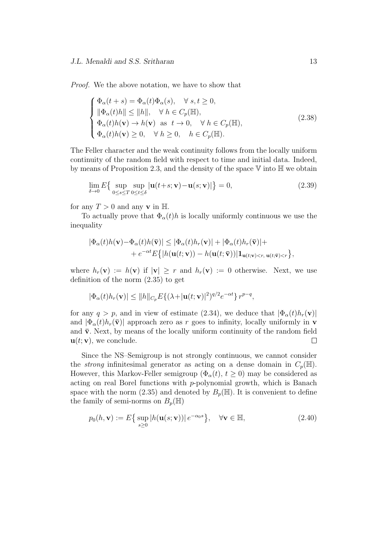*Proof.* We the above notation, we have to show that

$$
\begin{cases} \Phi_{\alpha}(t+s) = \Phi_{\alpha}(t)\Phi_{\alpha}(s), \quad \forall s, t \ge 0, \\ \|\Phi_{\alpha}(t)h\| \le \|h\|, \quad \forall h \in C_{p}(\mathbb{H}), \\ \Phi_{\alpha}(t)h(\mathbf{v}) \to h(\mathbf{v}) \text{ as } t \to 0, \quad \forall h \in C_{p}(\mathbb{H}), \\ \Phi_{\alpha}(t)h(\mathbf{v}) \ge 0, \quad \forall h \ge 0, \quad h \in C_{p}(\mathbb{H}). \end{cases}
$$
(2.38)

The Feller character and the weak continuity follows from the locally uniform continuity of the random field with respect to time and initial data. Indeed, by means of Proposition 2.3, and the density of the space  $\nabla$  into  $\mathbb H$  we obtain

$$
\lim_{\delta \to 0} E\left\{ \sup_{0 \le s \le T} \sup_{0 \le t \le \delta} |\mathbf{u}(t+s; \mathbf{v}) - \mathbf{u}(s; \mathbf{v})| \right\} = 0, \tag{2.39}
$$

for any  $T > 0$  and any **v** in  $\mathbb{H}$ .

To actually prove that  $\Phi_{\alpha}(t)h$  is locally uniformly continuous we use the inequality

$$
|\Phi_{\alpha}(t)h(\mathbf{v})-\Phi_{\alpha}(t)h(\bar{\mathbf{v}})| \leq |\Phi_{\alpha}(t)h_r(\mathbf{v})| + |\Phi_{\alpha}(t)h_r(\bar{\mathbf{v}})| ++ e^{-\alpha t}E\big\{|h(\mathbf{u}(t;\mathbf{v})) - h(\mathbf{u}(t;\bar{\mathbf{v}}))|\mathbf{1}_{\mathbf{u}(t;\mathbf{v})
$$

where  $h_r(\mathbf{v}) := h(\mathbf{v})$  if  $|\mathbf{v}| \geq r$  and  $h_r(\mathbf{v}) := 0$  otherwise. Next, we use definition of the norm (2.35) to get

$$
|\Phi_{\alpha}(t)h_r(\mathbf{v})| \le ||h||_{C_p} E\{(\lambda+|\mathbf{u}(t;\mathbf{v})|^2)^{q/2}e^{-\alpha t}\} r^{p-q},
$$

for any  $q > p$ , and in view of estimate (2.34), we deduce that  $|\Phi_{\alpha}(t)h_r(\mathbf{v})|$ and  $|\Phi_{\alpha}(t)h_r(\bar{v})|$  approach zero as r goes to infinity, locally uniformly in **v** and  $\bar{v}$ *.* Next, by means of the locally uniform continuity of the random field  $\mathbf{u}(t; \mathbf{v})$ , we conclude.  $\Box$ 

Since the NS–Semigroup is not strongly continuous, we cannot consider the *strong* infinitesimal generator as acting on a dense domain in  $C_p(\mathbb{H})$ . However, this Markov-Feller semigroup ( $\Phi_{\alpha}(t)$ ,  $t \geq 0$ ) may be considered as acting on real Borel functions with *p*-polynomial growth, which is Banach space with the norm (2.35) and denoted by  $B_p(\mathbb{H})$ . It is convenient to define the family of semi-norms on  $B_p(\mathbb{H})$ 

$$
p_0(h, \mathbf{v}) := E\left\{\sup_{s \ge 0} |h(\mathbf{u}(s; \mathbf{v}))| e^{-\alpha_0 s} \right\}, \quad \forall \mathbf{v} \in \mathbb{H}, \tag{2.40}
$$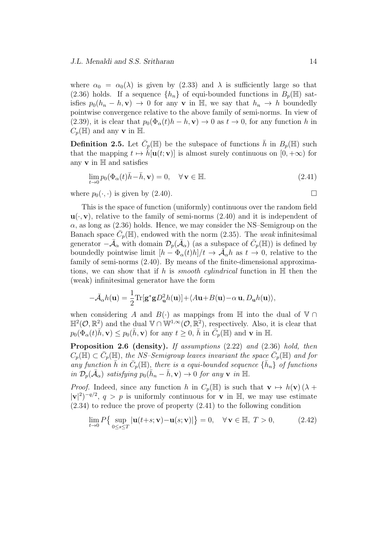where  $\alpha_0 = \alpha_0(\lambda)$  is given by (2.33) and  $\lambda$  is sufficiently large so that (2.36) holds. If a sequence  ${h_n}$  of equi-bounded functions in  $B_p(\mathbb{H})$  satisfies  $p_0(h_n - h, \mathbf{v}) \to 0$  for any **v** in  $\mathbb{H}$ , we say that  $h_n \to h$  boundedly pointwise convergence relative to the above family of semi-norms. In view of (2.39), it is clear that  $p_0(\Phi_\alpha(t)h - h, \mathbf{v}) \to 0$  as  $t \to 0$ , for any function *h* in  $C_p(\mathbb{H})$  and any **v** in  $\mathbb{H}$ .

**Definition 2.5.** Let  $\bar{C}_p(\mathbb{H})$  be the subspace of functions  $\bar{h}$  in  $B_p(\mathbb{H})$  such that the mapping  $t \mapsto \bar{h}[\mathbf{u}(t; \mathbf{v})]$  is almost surely continuous on  $[0, +\infty)$  for any  $\bf{v}$  in  $\mathbb{H}$  and satisfies

$$
\lim_{t \to 0} p_0(\Phi_\alpha(t)\bar{h} - \bar{h}, \mathbf{v}) = 0, \quad \forall \mathbf{v} \in \mathbb{H}.
$$
\n(2.41)

where  $p_0(\cdot, \cdot)$  is given by (2.40).

This is the space of function (uniformly) continuous over the random field  $\mathbf{u}(\cdot,\mathbf{v})$ , relative to the family of semi-norms (2.40) and it is independent of  $\alpha$ , as long as (2.36) holds. Hence, we may consider the NS–Semigroup on the Banach space  $\overline{C}_p(\mathbb{H})$ , endowed with the norm (2.35). The *weak* infinitesimal generator  $-\bar{\mathcal{A}}_{\alpha}$  with domain  $\mathcal{D}_p(\bar{\mathcal{A}}_{\alpha})$  (as a subspace of  $\bar{C}_p(\mathbb{H})$ ) is defined by boundedly pointwise limit  $[h - \Phi_{\alpha}(t)h]/t \to \overline{\mathcal{A}}_{\alpha}h$  as  $t \to 0$ , relative to the family of semi-norms (2.40). By means of the finite-dimensional approximations, we can show that if *h* is *smooth cylindrical* function in H then the (weak) infinitesimal generator have the form

$$
-\bar{\mathcal{A}}_{\alpha}h(\mathbf{u}) = \frac{1}{2}\text{Tr}[\mathbf{g}^*\mathbf{g}D_{\mathbf{u}}^2h(\mathbf{u})] + \langle A\mathbf{u}+B(\mathbf{u})-\alpha\mathbf{u}, D_{\mathbf{u}}h(\mathbf{u})\rangle,
$$

when considering *A* and *B*( $\cdot$ ) as mappings from H into the dual of V ∩  $\mathbb{H}^2(\mathcal{O}, \mathbb{R}^2)$  and the dual  $\mathbb{V} \cap \mathbb{W}^{1,\infty}(\mathcal{O}, \mathbb{R}^2)$ , respectively. Also, it is clear that  $p_0(\Phi_\alpha(t)\vec{h}, \mathbf{v}) \leq p_0(\vec{h}, \mathbf{v})$  for any  $t \geq 0$ ,  $\vec{h}$  in  $\overline{C}_p(\mathbb{H})$  and  $\mathbf{v}$  in  $\mathbb{H}$ .

**Proposition 2.6 (density).** *If assumptions* (2.22) *and* (2.36) *hold, then*  $C_p(\mathbb{H}) \subset \overline{C}_p(\mathbb{H})$ , the NS–Semigroup leaves invariant the space  $\overline{C}_p(\mathbb{H})$  and for  $a_n$  *in function*  $\bar{h}$  *in*  $\bar{C}_p(\mathbb{H})$ *, there is a equi-bounded sequence*  ${\{\bar{h}_n\}}$  *of functions*  $in \mathcal{D}_p(\bar{\mathcal{A}}_\alpha)$  *satisfying*  $p_0(\bar{h}_n - \bar{h}, \mathbf{v}) \to 0$  *for any*  $\mathbf{v}$  *in*  $\mathbb{H}$ *.* 

*Proof.* Indeed, since any function *h* in  $C_p(\mathbb{H})$  is such that  $\mathbf{v} \mapsto h(\mathbf{v}) (\lambda +$  $|\mathbf{v}|^2$ <sup>-q/2</sup>,  $q > p$  is uniformly continuous for **v** in H, we may use estimate (2.34) to reduce the prove of property (2.41) to the following condition

$$
\lim_{t \to 0} P\left\{ \sup_{0 \le s \le T} |\mathbf{u}(t+s; \mathbf{v}) - \mathbf{u}(s; \mathbf{v})| \right\} = 0, \quad \forall \mathbf{v} \in \mathbb{H}, T > 0,
$$
\n(2.42)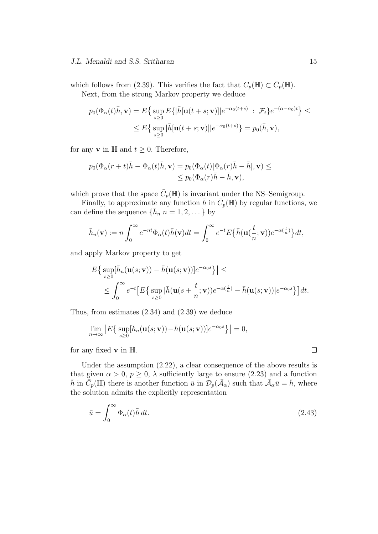which follows from (2.39). This verifies the fact that  $C_p(\mathbb{H}) \subset \overline{C}_p(\mathbb{H})$ . Next, from the strong Markov property we deduce

$$
p_0(\Phi_\alpha(t)\bar{h}, \mathbf{v}) = E\left\{\sup_{s\geq 0} E\{|\bar{h}[\mathbf{u}(t+s; \mathbf{v})]|e^{-\alpha_0(t+s)} \;:\; \mathcal{F}_t\}e^{-(\alpha-\alpha_0)t}\right\} \leq
$$
  

$$
\leq E\left\{\sup_{s\geq 0} |\bar{h}[\mathbf{u}(t+s; \mathbf{v})]|e^{-\alpha_0(t+s)}\right\} = p_0(\bar{h}, \mathbf{v}),
$$

for any **v** in  $\mathbb{H}$  and  $t \geq 0$ . Therefore,

$$
p_0(\Phi_\alpha(r+t)\bar{h}-\Phi_\alpha(t)\bar{h},\mathbf{v})=p_0(\Phi_\alpha(t)[\Phi_\alpha(r)\bar{h}-\bar{h}],\mathbf{v})\leq\\ \leq p_0(\Phi_\alpha(r)\bar{h}-\bar{h},\mathbf{v}),
$$

which prove that the space  $\bar{C}_p(\mathbb{H})$  is invariant under the NS–Semigroup.

Finally, to approximate any function  $\bar{h}$  in  $\bar{C}_p(\mathbb{H})$  by regular functions, we can define the sequence  $\{\bar{h}_n \; n = 1, 2, \dots\}$  by

$$
\bar{h}_n(\mathbf{v}) := n \int_0^\infty e^{-nt} \Phi_\alpha(t) \bar{h}(\mathbf{v}) dt = \int_0^\infty e^{-t} E\{\bar{h}(\mathbf{u}(\frac{t}{n}; \mathbf{v})) e^{-\alpha(\frac{t}{n})}\} dt,
$$

and apply Markov property to get

$$
\begin{aligned} \left| E \{ \sup_{s\geq 0} [\bar{h}_n(\mathbf{u}(s; \mathbf{v})) - \bar{h}(\mathbf{u}(s; \mathbf{v}))] e^{-\alpha_0 s} \} \right| &\leq \\ &\leq \int_0^\infty e^{-t} \big[ E \{ \sup_{s\geq 0} |\bar{h}(\mathbf{u}(s + \frac{t}{n}; \mathbf{v})) e^{-\alpha(\frac{t}{n})} - \bar{h}(\mathbf{u}(s; \mathbf{v}))| e^{-\alpha_0 s} \} \big] dt. \end{aligned}
$$

Thus, from estimates (2.34) and (2.39) we deduce

$$
\lim_{n\to\infty} \left| E\big\{\sup_{s\geq 0} [\bar{h}_n(\mathbf{u}(s;\mathbf{v})) - \bar{h}(\mathbf{u}(s;\mathbf{v}))]e^{-\alpha_0 s} \big\} \right| = 0,
$$

for any fixed **v** in H*.*

Under the assumption  $(2.22)$ , a clear consequence of the above results is that given  $\alpha > 0$ ,  $p \ge 0$ ,  $\lambda$  sufficiently large to ensure (2.23) and a function  $\bar{h}$  in  $\bar{C}_p(\mathbb{H})$  there is another function  $\bar{u}$  in  $\mathcal{D}_p(\bar{\mathcal{A}}_\alpha)$  such that  $\bar{\mathcal{A}}_\alpha\bar{u} = \bar{h}$ , where the solution admits the explicitly representation

$$
\bar{u} = \int_0^\infty \Phi_\alpha(t) \bar{h} \, dt. \tag{2.43}
$$

 $\Box$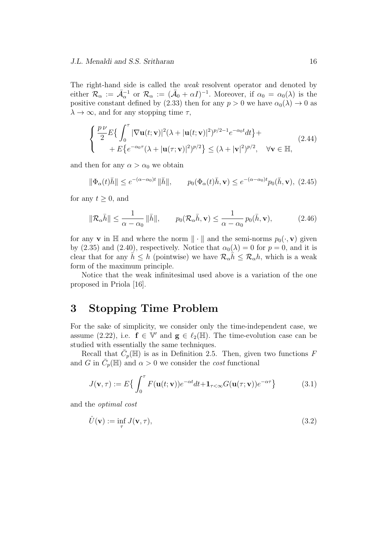The right-hand side is called the *weak* resolvent operator and denoted by either  $\mathcal{R}_{\alpha} := \overline{\mathcal{A}}_{\alpha}^{-1}$  or  $\mathcal{R}_{\alpha} := (\overline{\mathcal{A}}_0 + \alpha I)^{-1}$ . Moreover, if  $\alpha_0 = \alpha_0(\lambda)$  is the positive constant defined by (2.33) then for any  $p > 0$  we have  $\alpha_0(\lambda) \to 0$  as  $\lambda \rightarrow \infty$ , and for any stopping time  $\tau$ ,

$$
\begin{cases} \frac{p\nu}{2} E\left\{ \int_0^\tau |\nabla \mathbf{u}(t; \mathbf{v})|^2 (\lambda + |\mathbf{u}(t; \mathbf{v})|^2)^{p/2-1} e^{-\alpha_0 t} dt \right\} + \\ \quad + E\left\{ e^{-\alpha_0 \tau} (\lambda + |\mathbf{u}(\tau; \mathbf{v})|^2)^{p/2} \right\} \le (\lambda + |\mathbf{v}|^2)^{p/2}, \quad \forall \mathbf{v} \in \mathbb{H}, \end{cases} (2.44)
$$

and then for any  $\alpha > \alpha_0$  we obtain

$$
\|\Phi_{\alpha}(t)\bar{h}\| \le e^{-(\alpha-\alpha_0)t} \|\bar{h}\|, \qquad p_0(\Phi_{\alpha}(t)\bar{h}, \mathbf{v}) \le e^{-(\alpha-\alpha_0)t} p_0(\bar{h}, \mathbf{v}), \tag{2.45}
$$

for any  $t \geq 0$ , and

$$
\|\mathcal{R}_{\alpha}\bar{h}\| \le \frac{1}{\alpha - \alpha_0} \|\bar{h}\|, \qquad p_0(\mathcal{R}_{\alpha}\bar{h}, \mathbf{v}) \le \frac{1}{\alpha - \alpha_0} p_0(\bar{h}, \mathbf{v}), \tag{2.46}
$$

for any **v** in  $\mathbb{H}$  and where the norm  $\|\cdot\|$  and the semi-norms  $p_0(\cdot, \mathbf{v})$  given by (2.35) and (2.40), respectively. Notice that  $\alpha_0(\lambda) = 0$  for  $p = 0$ , and it is clear that for any  $h \leq h$  (pointwise) we have  $\mathcal{R}_{\alpha} h \leq \mathcal{R}_{\alpha} h$ , which is a weak form of the maximum principle.

Notice that the weak infinitesimal used above is a variation of the one proposed in Priola [16].

### **3 Stopping Time Problem**

For the sake of simplicity, we consider only the time-independent case, we assume (2.22), i.e.  $f \in V'$  and  $g \in \ell_2(\mathbb{H})$ . The time-evolution case can be studied with essentially the same techniques.

Recall that  $\bar{C}_p(\mathbb{H})$  is as in Definition 2.5. Then, given two functions *F* and *G* in  $\overline{C}_p(\mathbb{H})$  and  $\alpha > 0$  we consider the *cost* functional

$$
J(\mathbf{v},\tau) := E\left\{ \int_0^{\tau} F(\mathbf{u}(t;\mathbf{v})) e^{-\alpha t} dt + \mathbf{1}_{\tau < \infty} G(\mathbf{u}(\tau;\mathbf{v})) e^{-\alpha \tau} \right\}
$$
(3.1)

and the *optimal cost*

$$
\hat{U}(\mathbf{v}) := \inf_{\tau} J(\mathbf{v}, \tau), \tag{3.2}
$$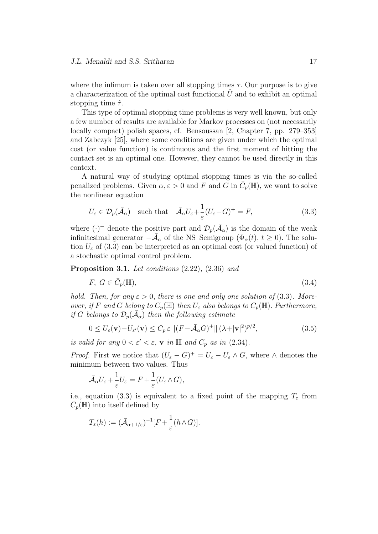where the infimum is taken over all stopping times *τ.* Our purpose is to give a characterization of the optimal cost functional  $\hat{U}$  and to exhibit an optimal stopping time ˆ*τ.*

This type of optimal stopping time problems is very well known, but only a few number of results are available for Markov processes on (not necessarily locally compact) polish spaces, cf. Bensoussan [2, Chapter 7, pp. 279–353] and Zabczyk [25], where some conditions are given under which the optimal cost (or value function) is continuous and the first moment of hitting the contact set is an optimal one. However, they cannot be used directly in this context.

A natural way of studying optimal stopping times is via the so-called penalized problems. Given  $\alpha, \varepsilon > 0$  and *F* and *G* in  $\overline{C}_p(\mathbb{H})$ , we want to solve the nonlinear equation

$$
U_{\varepsilon} \in \mathcal{D}_p(\bar{\mathcal{A}}_{\alpha}) \quad \text{such that} \quad \bar{\mathcal{A}}_{\alpha} U_{\varepsilon} + \frac{1}{\varepsilon} (U_{\varepsilon} - G)^{+} = F,\tag{3.3}
$$

where  $(\cdot)^+$  denote the positive part and  $\mathcal{D}_p(\bar{\mathcal{A}}_\alpha)$  is the domain of the weak infinitesimal generator  $-\bar{\mathcal{A}}_{\alpha}$  of the NS–Semigroup ( $\Phi_{\alpha}(t)$ ,  $t \geq 0$ ). The solution  $U_{\varepsilon}$  of (3.3) can be interpreted as an optimal cost (or valued function) of a stochastic optimal control problem.

**Proposition 3.1.** *Let conditions* (2.22)*,* (2.36) *and*

$$
F, G \in \bar{C}_p(\mathbb{H}),\tag{3.4}
$$

*hold. Then, for any*  $\varepsilon > 0$ *, there is one and only one solution of* (3.3)*. Moreover, if F* and *G* belong to  $C_p(\mathbb{H})$  then  $U_{\varepsilon}$  also belongs to  $C_p(\mathbb{H})$ . Furthermore, *if G belongs to*  $\mathcal{D}_p(\bar{\mathcal{A}}_\alpha)$  *then the following estimate* 

$$
0 \le U_{\varepsilon}(\mathbf{v}) - U_{\varepsilon'}(\mathbf{v}) \le C_p \, \varepsilon \, \|(F - \bar{\mathcal{A}}_{\alpha} G)^+\| \, (\lambda + |\mathbf{v}|^2)^{p/2},\tag{3.5}
$$

*is valid for any*  $0 < \varepsilon' < \varepsilon$ , **v** *in*  $\mathbb{H}$  *and*  $C_p$  *as in* (2.34)*.* 

*Proof.* First we notice that  $(U_{\varepsilon} - G)^{+} = U_{\varepsilon} - U_{\varepsilon} \wedge G$ , where  $\wedge$  denotes the minimum between two values. Thus

$$
\bar{\mathcal{A}}_{\alpha}U_{\varepsilon} + \frac{1}{\varepsilon}U_{\varepsilon} = F + \frac{1}{\varepsilon}(U_{\varepsilon} \wedge G),
$$

i.e., equation (3.3) is equivalent to a fixed point of the mapping  $T_{\varepsilon}$  from  $\overline{C}_p(\mathbb{H})$  into itself defined by

$$
T_{\varepsilon}(h) := (\bar{\mathcal{A}}_{\alpha+1/\varepsilon})^{-1} [F + \frac{1}{\varepsilon} (h \wedge G)].
$$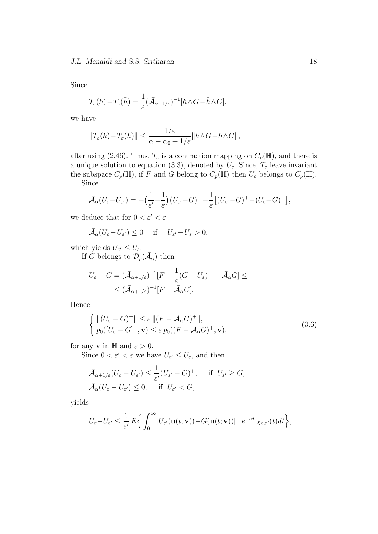Since

$$
T_{\varepsilon}(h) - T_{\varepsilon}(\bar{h}) = \frac{1}{\varepsilon} (\bar{\mathcal{A}}_{\alpha+1/\varepsilon})^{-1} [h \wedge G - \bar{h} \wedge G],
$$

we have

$$
||T_{\varepsilon}(h) - T_{\varepsilon}(\bar{h})|| \le \frac{1/\varepsilon}{\alpha - \alpha_0 + 1/\varepsilon} ||h \wedge G - \bar{h} \wedge G||,
$$

after using (2.46). Thus,  $T_{\varepsilon}$  is a contraction mapping on  $\bar{C}_p(\mathbb{H})$ , and there is a unique solution to equation (3.3), denoted by  $U_{\varepsilon}$ . Since,  $T_{\varepsilon}$  leave invariant the subspace  $C_p(\mathbb{H})$ , if *F* and *G* belong to  $C_p(\mathbb{H})$  then  $U_{\varepsilon}$  belongs to  $C_p(\mathbb{H})$ . Since

$$
\bar{\mathcal{A}}_{\alpha}(U_{\varepsilon}-U_{\varepsilon'})=-\left(\frac{1}{\varepsilon'}-\frac{1}{\varepsilon}\right)\left(U_{\varepsilon'}-G\right)^{+}-\frac{1}{\varepsilon}\left[(U_{\varepsilon'}-G)^{+}-(U_{\varepsilon}-G)^{+}\right],
$$

we deduce that for  $0<\varepsilon'<\varepsilon$ 

$$
\bar{\mathcal{A}}_{\alpha}(U_{\varepsilon}-U_{\varepsilon'})\leq 0 \quad \text{ if } \quad U_{\varepsilon'}-U_{\varepsilon}>0,
$$

which yields  $U_{\varepsilon} \leq U_{\varepsilon}$ .

If *G* belongs to  $\mathcal{D}_p(\bar{\mathcal{A}}_\alpha)$  then

$$
U_{\varepsilon} - G = (\bar{\mathcal{A}}_{\alpha+1/\varepsilon})^{-1} [F - \frac{1}{\varepsilon} (G - U_{\varepsilon})^{+} - \bar{\mathcal{A}}_{\alpha} G] \le
$$
  
\$\le (\bar{\mathcal{A}}\_{\alpha+1/\varepsilon})^{-1} [F - \bar{\mathcal{A}}\_{\alpha} G].

Hence

$$
\begin{cases}\n\|(U_{\varepsilon} - G)^{+}\| \leq \varepsilon \|(F - \bar{\mathcal{A}}_{\alpha} G)^{+}\|, \\
p_0([U_{\varepsilon} - G]^{+}, \mathbf{v}) \leq \varepsilon \, p_0((F - \bar{\mathcal{A}}_{\alpha} G)^{+}, \mathbf{v}),\n\end{cases} \tag{3.6}
$$

for any **v** in  $\mathbb{H}$  and  $\varepsilon > 0$ .

Since  $0 < \varepsilon' < \varepsilon$  we have  $U_{\varepsilon'} \leq U_{\varepsilon}$ , and then

$$
\bar{\mathcal{A}}_{\alpha+1/\varepsilon}(U_{\varepsilon}-U_{\varepsilon'}) \leq \frac{1}{\varepsilon'}(U_{\varepsilon'}-G)^{+}, \quad \text{if } U_{\varepsilon'} \geq G,
$$
  

$$
\bar{\mathcal{A}}_{\alpha}(U_{\varepsilon}-U_{\varepsilon'}) \leq 0, \quad \text{if } U_{\varepsilon'} < G,
$$

yields

$$
U_{\varepsilon}-U_{\varepsilon'}\leq \frac{1}{\varepsilon'}\,E\Big\{\int_0^\infty [U_{\varepsilon'}(\mathbf{u}(t;\mathbf{v}))-G(\mathbf{u}(t;\mathbf{v}))]^+\,e^{-\alpha t}\,\chi_{\varepsilon,\varepsilon'}(t)dt\Big\},
$$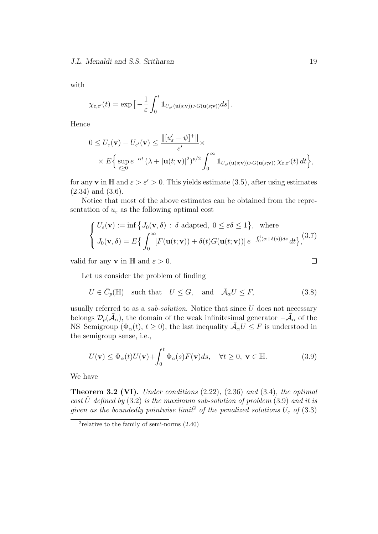with

$$
\chi_{\varepsilon,\varepsilon'}(t) = \exp\Big[-\frac{1}{\varepsilon}\int_0^t \mathbf{1}_{U_{\varepsilon'}(\mathbf{u}(s;\mathbf{v}))>G(\mathbf{u}(s;\mathbf{v}))}ds\Big].
$$

Hence

$$
0 \le U_{\varepsilon}(\mathbf{v}) - U_{\varepsilon'}(\mathbf{v}) \le \frac{\| [u_{\varepsilon}' - \psi]^+ \|}{\varepsilon'} \times
$$
  
 
$$
\times E \Big\{ \sup_{t \ge 0} e^{-\alpha t} \left( \lambda + |\mathbf{u}(t; \mathbf{v})|^2 \right)^{p/2} \int_0^\infty \mathbf{1}_{U_{\varepsilon'}(\mathbf{u}(s; \mathbf{v})) > G(\mathbf{u}(s; \mathbf{v}))} \chi_{\varepsilon, \varepsilon'}(t) dt \Big\},
$$

for any **v** in  $\mathbb{H}$  and  $\varepsilon > \varepsilon' > 0$ . This yields estimate (3.5), after using estimates (2.34) and (3.6).

Notice that most of the above estimates can be obtained from the representation of  $u_{\varepsilon}$  as the following optimal cost

$$
\begin{cases}\nU_{\varepsilon}(\mathbf{v}) := \inf \{ J_0(\mathbf{v}, \delta) : \delta \text{ adapted, } 0 \le \varepsilon \delta \le 1 \}, \text{ where} \\
J_0(\mathbf{v}, \delta) = E \{ \int_0^\infty [F(\mathbf{u}(t; \mathbf{v})) + \delta(t) G(\mathbf{u}(t; \mathbf{v}))] e^{-\int_0^t (\alpha + \delta(s)) ds} dt \},\n\end{cases}
$$
\n(3.7)

valid for any **v** in  $\mathbb{H}$  and  $\varepsilon > 0$ .

Let us consider the problem of finding

$$
U \in \bar{C}_p(\mathbb{H}) \quad \text{such that} \quad U \le G, \quad \text{and} \quad \bar{\mathcal{A}}_\alpha U \le F,\tag{3.8}
$$

usually referred to as a *sub-solution*. Notice that since *U* does not necessary belongs  $\mathcal{D}_p(\bar{\mathcal{A}}_\alpha)$ , the domain of the weak infinitesimal generator  $-\bar{\mathcal{A}}_\alpha$  of the NS–Semigroup  $(\Phi_{\alpha}(t), t \ge 0)$ , the last inequality  $\overline{\mathcal{A}}_{\alpha}U \le F$  is understood in the semigroup sense, i.e.,

$$
U(\mathbf{v}) \le \Phi_{\alpha}(t)U(\mathbf{v}) + \int_0^t \Phi_{\alpha}(s)F(\mathbf{v})ds, \quad \forall t \ge 0, \ \mathbf{v} \in \mathbb{H}.
$$

We have

**Theorem 3.2 (VI).** *Under conditions* (2.22)*,* (2.36) *and* (3.4)*, the optimal*  $\cos t \hat{U}$  *defined by* (3.2) *is the maximum sub-solution of problem* (3.9) *and it is given as the boundedly pointwise limit<sup>2</sup> of the penalized solutions*  $U_{\varepsilon}$  of (3.3)

 $\Box$ 

<sup>2</sup> relative to the family of semi-norms (2.40)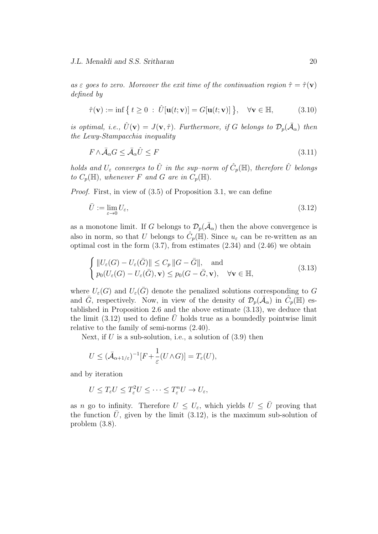$as \varepsilon$  *goes to zero.* Moreover the exit time of the continuation region  $\hat{\tau} = \hat{\tau}(\mathbf{v})$ *defined by*

$$
\hat{\tau}(\mathbf{v}) := \inf \left\{ t \ge 0 \; : \; \hat{U}[\mathbf{u}(t; \mathbf{v})] = G[\mathbf{u}(t; \mathbf{v})] \right\}, \quad \forall \mathbf{v} \in \mathbb{H}, \tag{3.10}
$$

*is optimal, i.e.,*  $\hat{U}(\mathbf{v}) = J(\mathbf{v}, \hat{\tau})$ *. Furthermore, if G belongs to*  $\mathcal{D}_p(\bar{\mathcal{A}}_\alpha)$  *then the Lewy-Stampacchia inequality*

$$
F \wedge \bar{\mathcal{A}}_{\alpha} G \le \bar{\mathcal{A}}_{\alpha} \hat{U} \le F \tag{3.11}
$$

*holds and*  $U_{\varepsilon}$  *converges to*  $\hat{U}$  *in the sup–norm of*  $\hat{C}_p(\mathbb{H})$ *, therefore*  $\hat{U}$  *belongs to*  $C_p(\mathbb{H})$ *, whenever F* and *G* are in  $C_p(\mathbb{H})$ *.* 

*Proof.* First, in view of (3.5) of Proposition 3.1, we can define

$$
\bar{U} := \lim_{\varepsilon \to 0} U_{\varepsilon},\tag{3.12}
$$

as a monotone limit. If *G* belongs to  $\mathcal{D}_p(\bar{\mathcal{A}}_\alpha)$  then the above convergence is also in norm, so that *U* belongs to  $\hat{C}_p(\mathbb{H})$ . Since  $u_\varepsilon$  can be re-written as an optimal cost in the form  $(3.7)$ , from estimates  $(2.34)$  and  $(2.46)$  we obtain

$$
\begin{cases}\n||U_{\varepsilon}(G) - U_{\varepsilon}(\bar{G})|| \le C_p ||G - \bar{G}||, \text{ and} \\
p_0(U_{\varepsilon}(G) - U_{\varepsilon}(\bar{G}), \mathbf{v}) \le p_0(G - \bar{G}, \mathbf{v}), \quad \forall \mathbf{v} \in \mathbb{H},\n\end{cases}
$$
\n(3.13)

where  $U_{\varepsilon}(G)$  and  $U_{\varepsilon}(\overline{G})$  denote the penalized solutions corresponding to  $G$ and  $\bar{G}$ , respectively. Now, in view of the density of  $\mathcal{D}_p(\bar{\mathcal{A}}_\alpha)$  in  $\hat{C}_p(\mathbb{H})$  established in Proposition 2.6 and the above estimate (3.13), we deduce that the limit  $(3.12)$  used to define *U* holds true as a boundedly pointwise limit relative to the family of semi-norms (2.40).

Next, if *U* is a sub-solution, i.e., a solution of  $(3.9)$  then

$$
U \leq (\bar{\mathcal{A}}_{\alpha+1/\varepsilon})^{-1} [F + \frac{1}{\varepsilon} (U \wedge G)] = T_{\varepsilon}(U),
$$

and by iteration

$$
U \leq T_{\varepsilon} U \leq T_{\varepsilon}^{2} U \leq \cdots \leq T_{\varepsilon}^{n} U \to U_{\varepsilon},
$$

as *n* go to infinity. Therefore  $U \leq U_{\varepsilon}$ , which yields  $U \leq \overline{U}$  proving that the function  $\bar{U}$ , given by the limit (3.12), is the maximum sub-solution of problem (3.8).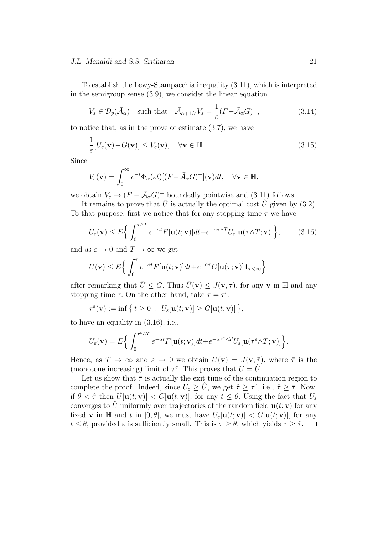To establish the Lewy-Stampacchia inequality (3.11), which is interpreted in the semigroup sense (3.9), we consider the linear equation

$$
V_{\varepsilon} \in \mathcal{D}_p(\bar{\mathcal{A}}_{\alpha}) \quad \text{such that} \quad \bar{\mathcal{A}}_{\alpha+1/\varepsilon} V_{\varepsilon} = \frac{1}{\varepsilon} (F - \bar{\mathcal{A}}_{\alpha} G)^+, \tag{3.14}
$$

to notice that, as in the prove of estimate (3.7), we have

$$
\frac{1}{\varepsilon}[U_{\varepsilon}(\mathbf{v}) - G(\mathbf{v})] \le V_{\varepsilon}(\mathbf{v}), \quad \forall \mathbf{v} \in \mathbb{H}.
$$
\n(3.15)

Since

$$
V_{\varepsilon}(\mathbf{v}) = \int_0^{\infty} e^{-t} \Phi_{\alpha}(\varepsilon t) [(F - \bar{\mathcal{A}}_{\alpha} G)^+] (\mathbf{v}) dt, \quad \forall \mathbf{v} \in \mathbb{H},
$$

we obtain  $V_{\varepsilon} \to (F - \bar{A}_{\alpha} G)^+$  boundedly pointwise and (3.11) follows.

It remains to prove that  $\bar{U}$  is actually the optimal cost  $\hat{U}$  given by (3.2). To that purpose, first we notice that for any stopping time *τ* we have

$$
U_{\varepsilon}(\mathbf{v}) \le E \Big\{ \int_0^{\tau \wedge T} e^{-\alpha t} F[\mathbf{u}(t; \mathbf{v})] dt + e^{-\alpha \tau \wedge T} U_{\varepsilon}[\mathbf{u}(\tau \wedge T; \mathbf{v})] \Big\},\tag{3.16}
$$

and as  $\varepsilon \to 0$  and  $T \to \infty$  we get

$$
\bar{U}(\mathbf{v}) \le E \Big\{ \int_0^{\tau} e^{-\alpha t} F[\mathbf{u}(t; \mathbf{v})] dt + e^{-\alpha \tau} G[\mathbf{u}(\tau; \mathbf{v})] \mathbf{1}_{\tau < \infty} \Big\}
$$

after remarking that  $\bar{U} \leq G$ . Thus  $\bar{U}(\mathbf{v}) \leq J(\mathbf{v}, \tau)$ , for any **v** in H and any stopping time  $\tau$ . On the other hand, take  $\tau = \tau^{\varepsilon}$ ,

$$
\tau^{\varepsilon}(\mathbf{v}) := \inf \big\{ t \geq 0 \; : \; U_{\varepsilon}[\mathbf{u}(t; \mathbf{v})] \geq G[\mathbf{u}(t; \mathbf{v})] \big\},
$$

to have an equality in (3.16), i.e.,

$$
U_{\varepsilon}(\mathbf{v}) = E\Big\{\int_0^{\tau^{\varepsilon} \wedge T} e^{-\alpha t} F[\mathbf{u}(t; \mathbf{v})] dt + e^{-\alpha \tau^{\varepsilon} \wedge T} U_{\varepsilon}[\mathbf{u}(\tau^{\varepsilon} \wedge T; \mathbf{v})]\Big\}.
$$

Hence, as  $T \to \infty$  and  $\varepsilon \to 0$  we obtain  $\overline{U}(\mathbf{v}) = J(\mathbf{v}, \overline{\tau})$ , where  $\overline{\tau}$  is the (monotone increasing) limit of  $\tau^{\epsilon}$ . This proves that  $\bar{U} = \hat{U}$ .

Let us show that  $\bar{\tau}$  is actually the exit time of the continuation region to complete the proof. Indeed, since  $U_{\varepsilon} \geq \hat{U}$ , we get  $\hat{\tau} \geq \tau^{\varepsilon}$ , i.e.,  $\hat{\tau} \geq \bar{\tau}$ . Now, if  $\theta < \hat{\tau}$  then  $\hat{U}[\mathbf{u}(t; \mathbf{v})] < G[\mathbf{u}(t; \mathbf{v})]$ , for any  $t \leq \theta$ . Using the fact that  $U_{\varepsilon}$ converges to  $\hat{U}$  uniformly over trajectories of the random field  $\mathbf{u}(t; \mathbf{v})$  for any fixed **v** in  $\mathbb{H}$  and *t* in  $[0, \theta]$ , we must have  $U_{\varepsilon}[\mathbf{u}(t; \mathbf{v})] < G[\mathbf{u}(t; \mathbf{v})]$ , for any *t*  $\leq \theta$ , provided  $\varepsilon$  is sufficiently small. This is  $\bar{\tau} \geq \theta$ , which yields  $\bar{\tau} \geq \hat{\tau}$ .  $\Box$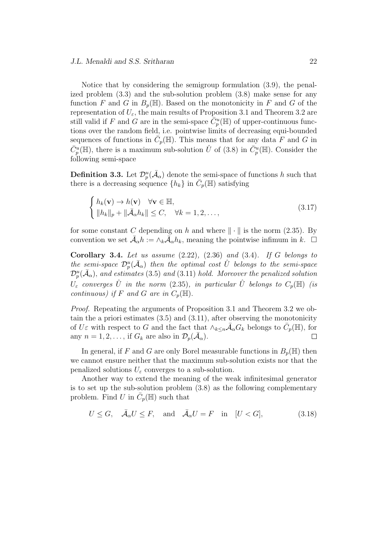Notice that by considering the semigroup formulation (3.9), the penalized problem (3.3) and the sub-solution problem (3.8) make sense for any function *F* and *G* in  $B_p(\mathbb{H})$ . Based on the monotonicity in *F* and *G* of the representation of  $U_{\varepsilon}$ , the main results of Proposition 3.1 and Theorem 3.2 are still valid if *F* and *G* are in the semi-space  $\bar{C}^u_p(\mathbb{H})$  of upper-continuous functions over the random field, i.e. pointwise limits of decreasing equi-bounded sequences of functions in  $\overline{C}_p(\mathbb{H})$ . This means that for any data F and G in  $\bar{C}^u_p(\mathbb{H})$ , there is a maximum sub-solution  $\hat{U}$  of (3.8) in  $\bar{C}^u_p(\mathbb{H})$ . Consider the following semi-space

**Definition 3.3.** Let  $\mathcal{D}_p^u(\bar{\mathcal{A}}_\alpha)$  denote the semi-space of functions *h* such that there is a decreasing sequence  ${h_k}$  in  $\bar{C}_p(\mathbb{H})$  satisfying

$$
\begin{cases}\nh_k(\mathbf{v}) \to h(\mathbf{v}) \quad \forall \mathbf{v} \in \mathbb{H}, \\
\|h_k\|_p + \|\bar{A}_{\alpha}h_k\| \le C, \quad \forall k = 1, 2, \dots,\n\end{cases}
$$
\n(3.17)

for some constant *C* depending on *h* and where *∥ · ∥* is the norm (2.35). By convention we set  $\bar{\mathcal{A}}_{\alpha}h := \wedge_k \bar{\mathcal{A}}_{\alpha}h_k$ , meaning the pointwise infimum in *k*.  $\Box$ 

**Corollary 3.4.** *Let us assume* (2.22)*,* (2.36) *and* (3.4)*. If G belongs to the semi-space*  $\mathcal{D}_p^u(\bar{\mathcal{A}}_\alpha)$  *then the optimal cost*  $\hat{U}$  *belongs to the semi-space*  $\mathcal{D}_{p}^{u}(\bar{\mathcal{A}}_{\alpha})$ *, and estimates* (3.5) *and* (3.11) *hold. Moreover the penalized solution*  $U_{\varepsilon}$  *converges*  $\hat{U}$  *in the norm* (2.35)*, in particular*  $\hat{U}$  *belongs to*  $C_p(\mathbb{H})$  *(is continuous)* if F and G are in  $C_p(\mathbb{H})$ .

*Proof.* Repeating the arguments of Proposition 3.1 and Theorem 3.2 we obtain the a priori estimates  $(3.5)$  and  $(3.11)$ , after observing the monotonicity of *Uε* with respect to *G* and the fact that  $\wedge_{k\leq n} \overline{\mathcal{A}}_{\alpha} G_k$  belongs to  $\overline{C}_p(\mathbb{H})$ , for any  $n = 1, 2, \ldots$ , if  $G_k$  are also in  $\mathcal{D}_p(\bar{\mathcal{A}}_\alpha)$ .

In general, if *F* and *G* are only Borel measurable functions in  $B_p(\mathbb{H})$  then we cannot ensure neither that the maximum sub-solution exists nor that the penalized solutions  $U_{\varepsilon}$  converges to a sub-solution.

Another way to extend the meaning of the weak infinitesimal generator is to set up the sub-solution problem (3.8) as the following complementary problem. Find U in  $\overline{C}_p(\mathbb{H})$  such that

$$
U \le G, \quad \bar{A}_{\alpha} U \le F, \quad \text{and} \quad \bar{A}_{\alpha} U = F \quad \text{in} \quad [U < G], \tag{3.18}
$$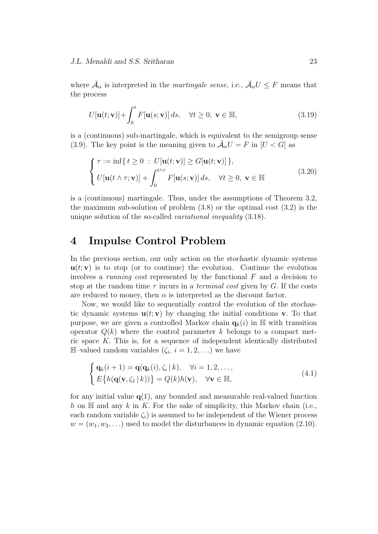where  $\bar{\mathcal{A}}_{\alpha}$  is interpreted in the *martingale sense*, i.e.,  $\bar{\mathcal{A}}_{\alpha}U \leq F$  means that the process

$$
U[\mathbf{u}(t; \mathbf{v})] + \int_0^t F[\mathbf{u}(s; \mathbf{v})] ds, \quad \forall t \ge 0, \ \mathbf{v} \in \mathbb{H},
$$
\n(3.19)

is a (continuous) sub-martingale, which is equivalent to the semigroup sense (3.9). The key point is the meaning given to  $\bar{A}_{\alpha}U = F$  in  $[U < G]$  as

$$
\begin{cases}\n\tau := \inf\{t \ge 0 : U[\mathbf{u}(t; \mathbf{v})] \ge G[\mathbf{u}(t; \mathbf{v})]\}, \\
U[\mathbf{u}(t \wedge \tau; \mathbf{v})] + \int_0^{t \wedge \tau} F[\mathbf{u}(s; \mathbf{v})] ds, \quad \forall t \ge 0, \ \mathbf{v} \in \mathbb{H}\n\end{cases}
$$
\n(3.20)

is a (continuous) martingale. Thus, under the assumptions of Theorem 3.2, the maximum sub-solution of problem  $(3.8)$  or the optimal cost  $(3.2)$  is the unique solution of the so-called *variational inequality* (3.18).

### **4 Impulse Control Problem**

In the previous section, our only action on the stochastic dynamic systems  $u(t, v)$  is to stop (or to continue) the evolution. Continue the evolution involves a *running cost* represented by the functional *F* and a decision to stop at the random time  $\tau$  incurs in a *terminal cost* given by *G*. If the costs are reduced to money, then  $\alpha$  is interpreted as the discount factor.

Now, we would like to sequentially control the evolution of the stochastic dynamic systems  $\mathbf{u}(t; \mathbf{v})$  by changing the initial conditions **v**. To that purpose, we are given a controlled Markov chain  $q_k(i)$  in H with transition operator  $Q(k)$  where the control parameter k belongs to a compact metric space *K.* This is, for a sequence of independent identically distributed  $\mathbb{H}\text{-valued random variables } (\zeta_i, i = 1, 2, \ldots)$  we have

$$
\begin{cases} \mathbf{q}_k(i+1) = \mathbf{q}(\mathbf{q}_k(i), \zeta_i | k), \quad \forall i = 1, 2, ..., \\ E\{h(\mathbf{q}(\mathbf{v}, \zeta_1 | k))\} = Q(k)h(\mathbf{v}), \quad \forall \mathbf{v} \in \mathbb{H}, \end{cases}
$$
(4.1)

for any initial value  $q(1)$ , any bounded and measurable real-valued function h on  $H$  and any  $k$  in  $K$ . For the sake of simplicity, this Markov chain (i.e., each random variable  $\zeta_i$  is assumed to be independent of the Wiener process  $w = (w_1, w_2, \ldots)$  used to model the disturbances in dynamic equation (2.10).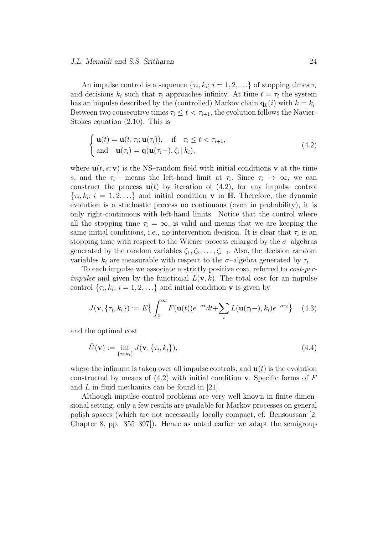An impulse control is a sequence  $\{\tau_i, k_i; i = 1, 2, \ldots\}$  of stopping times  $\tau_i$ and decisions  $k_i$  such that  $\tau_i$  approaches infinity. At time  $t = \tau_i$  the system has an impulse described by the (controlled) Markov chain  $\mathbf{q}_k(i)$  with  $k = k_i$ . Between two consecutive times  $\tau_i \leq t < \tau_{i+1}$ , the evolution follows the Navier-Stokes equation (2.10). This is

$$
\begin{cases}\n\mathbf{u}(t) = \mathbf{u}(t, \tau_i; \mathbf{u}(\tau_i)), & \text{if } \tau_i \le t < \tau_{i+1}, \\
\text{and } \mathbf{u}(\tau_i) = \mathbf{q}(\mathbf{u}(\tau_i-), \zeta_i \,|\, k_i),\n\end{cases} \tag{4.2}
$$

where  $\mathbf{u}(t, s; \mathbf{v})$  is the NS-random field with initial conditions **v** at the time *s*, and the  $\tau_i$ *-* means the left-hand limit at  $\tau_i$ . Since  $\tau_i \to \infty$ , we can construct the process  $u(t)$  by iteration of  $(4.2)$ , for any impulse control  $\{\tau_i, k_i; i = 1, 2, \ldots\}$  and initial condition **v** in H. Therefore, the dynamic evolution is a stochastic process no continuous (even in probability), it is only right-continuous with left-hand limits. Notice that the control where all the stopping time  $\tau_i = \infty$ , is valid and means that we are keeping the same initial conditions, i.e., no-intervention decision. It is clear that  $\tau_i$  is an stopping time with respect to the Wiener process enlarged by the  $\sigma$ –algebras generated by the random variables  $\zeta_1, \zeta_2, \ldots, \zeta_{i-1}$ . Also, the decision random variables  $k_i$  are measurable with respect to the  $\sigma$ -algebra generated by  $\tau_i$ .

To each impulse we associate a strictly positive cost, referred to *cost-perimpulse* and given by the functional  $L(\mathbf{v}, k)$ . The total cost for an impulse control  $\{\tau_i, k_i; i = 1, 2, \ldots\}$  and initial condition **v** is given by

$$
J(\mathbf{v}, \{\tau_i, k_i\}) := E\left\{ \int_0^\infty F(\mathbf{u}(t))e^{-\alpha t}dt + \sum_i L(\mathbf{u}(\tau_i-), k_i)e^{-\alpha \tau_i} \right\}
$$
(4.3)

and the optimal cost

$$
\hat{U}(\mathbf{v}) := \inf_{\{\tau_i, k_i\}} J(\mathbf{v}, \{\tau_i, k_i\}),
$$
\n(4.4)

where the infimum is taken over all impulse controls, and  $\mathbf{u}(t)$  is the evolution constructed by means of (4.2) with initial condition **v***.* Specific forms of *F* and *L* in fluid mechanics can be found in [21].

Although impulse control problems are very well known in finite dimensional setting, only a few results are available for Markov processes on general polish spaces (which are not necessarily locally compact, cf. Bensoussan [2, Chapter 8, pp. 355–397]). Hence as noted earlier we adapt the semigroup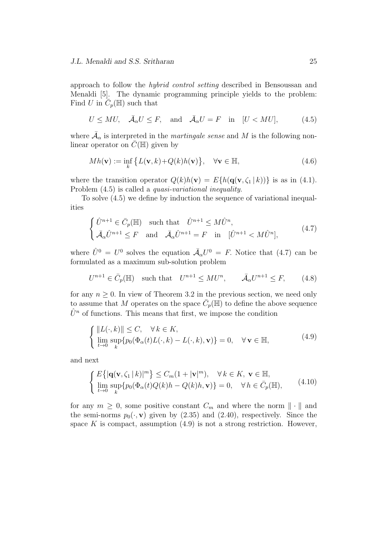approach to follow the *hybrid control setting* described in Bensoussan and Menaldi [5]. The dynamic programming principle yields to the problem: Find *U* in  $\overline{\tilde{C}}_p(\mathbb{H})$  such that

$$
U \le MU, \quad \bar{A}_{\alpha}U \le F, \quad \text{and} \quad \bar{A}_{\alpha}U = F \quad \text{in} \quad [U < MU], \tag{4.5}
$$

where  $\overline{\mathcal{A}}_{\alpha}$  is interpreted in the *martingale sense* and M is the following nonlinear operator on  $\overline{C}(\mathbb{H})$  given by

$$
Mh(\mathbf{v}) := \inf_{k} \left\{ L(\mathbf{v}, k) + Q(k)h(\mathbf{v}) \right\}, \quad \forall \mathbf{v} \in \mathbb{H}, \tag{4.6}
$$

where the transition operator  $Q(k)h(\mathbf{v}) = E\{h(\mathbf{q}(\mathbf{v},\zeta_1|k))\}$  is as in (4.1). Problem (4.5) is called a *quasi-variational inequality*.

To solve (4.5) we define by induction the sequence of variational inequalities

$$
\begin{cases}\n\hat{U}^{n+1} \in \bar{C}_p(\mathbb{H}) & \text{such that} \quad \hat{U}^{n+1} \le M\hat{U}^n, \\
\bar{\mathcal{A}}_\alpha \hat{U}^{n+1} \le F & \text{and} \quad \bar{\mathcal{A}}_\alpha \hat{U}^{n+1} = F & \text{in} \quad [\hat{U}^{n+1} < M\hat{U}^n],\n\end{cases} \tag{4.7}
$$

where  $\hat{U}^0 = U^0$  solves the equation  $\bar{\mathcal{A}}_{\alpha}U^0 = F$ . Notice that (4.7) can be formulated as a maximum sub-solution problem

$$
U^{n+1} \in \bar{C}_p(\mathbb{H}) \quad \text{such that} \quad U^{n+1} \le MU^n, \qquad \bar{A}_\alpha U^{n+1} \le F,\tag{4.8}
$$

for any  $n \geq 0$ . In view of Theorem 3.2 in the previous section, we need only to assume that *M* operates on the space  $\overline{C}_p(\mathbb{H})$  to define the above sequence  $\hat{U}^n$  of functions. This means that first, we impose the condition

$$
\begin{cases} ||L(\cdot,k)|| \leq C, \quad \forall k \in K, \\ \lim_{t \to 0} \sup_{k} \{ p_0(\Phi_\alpha(t)L(\cdot,k) - L(\cdot,k), \mathbf{v}) \} = 0, \quad \forall \mathbf{v} \in \mathbb{H}, \end{cases}
$$
(4.9)

and next

$$
\begin{cases} E\{|\mathbf{q}(\mathbf{v},\zeta_1|k)|^m\} \leq C_m(1+|\mathbf{v}|^m), \quad \forall k \in K, \ \mathbf{v} \in \mathbb{H},\\ \lim_{t \to 0} \sup_k \{p_0(\Phi_\alpha(t)Q(k)h - Q(k)h, \mathbf{v})\} = 0, \quad \forall h \in \bar{C}_p(\mathbb{H}), \end{cases} (4.10)
$$

for any  $m \geq 0$ , some positive constant  $C_m$  and where the norm  $\|\cdot\|$  and the semi-norms  $p_0(\cdot, \mathbf{v})$  given by (2.35) and (2.40), respectively. Since the space  $K$  is compact, assumption  $(4.9)$  is not a strong restriction. However,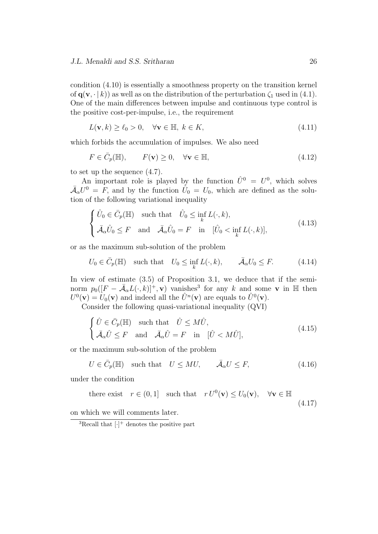condition (4.10) is essentially a smoothness property on the transition kernel of  $q(\mathbf{v}, \cdot | k)$  as well as on the distribution of the perturbation  $\zeta_1$  used in (4.1). One of the main differences between impulse and continuous type control is the positive cost-per-impulse, i.e., the requirement

$$
L(\mathbf{v},k) \ge \ell_0 > 0, \quad \forall \mathbf{v} \in \mathbb{H}, \ k \in K,\tag{4.11}
$$

which forbids the accumulation of impulses. We also need

$$
F \in \bar{C}_p(\mathbb{H}), \qquad F(\mathbf{v}) \ge 0, \quad \forall \mathbf{v} \in \mathbb{H}, \tag{4.12}
$$

to set up the sequence (4.7).

An important role is played by the function  $\hat{U}^0 = U^0$ , which solves  $\bar{\mathcal{A}}_{\alpha}U^0 = F$ , and by the function  $\tilde{U}_0 = U_0$ , which are defined as the solution of the following variational inequality

$$
\begin{cases} \n\hat{U}_0 \in \bar{C}_p(\mathbb{H}) & \text{such that} \quad \hat{U}_0 \leq \inf_k L(\cdot, k), \\ \n\bar{\mathcal{A}}_\alpha \hat{U}_0 \leq F & \text{and} \quad \bar{\mathcal{A}}_\alpha \hat{U}_0 = F & \text{in} \quad [\hat{U}_0 < \inf_k L(\cdot, k)], \n\end{cases} \tag{4.13}
$$

or as the maximum sub-solution of the problem

$$
U_0 \in \bar{C}_p(\mathbb{H}) \quad \text{such that} \quad U_0 \le \inf_k L(\cdot, k), \qquad \bar{A}_\alpha U_0 \le F. \tag{4.14}
$$

In view of estimate (3.5) of Proposition 3.1, we deduce that if the seminorm  $p_0([F - \overline{A}_{\alpha}L(\cdot, k)]^+, \mathbf{v})$  vanishes<sup>3</sup> for any *k* and some **v** in  $\mathbb{H}$  then  $U^0(\mathbf{v}) = U_0(\mathbf{v})$  and indeed all the  $\hat{U}^n(\mathbf{v})$  are equals to  $\hat{U}^0(\mathbf{v})$ .

Consider the following quasi-variational inequality (QVI)

$$
\begin{cases} \hat{U} \in \bar{C}_p(\mathbb{H}) & \text{such that} \quad \hat{U} \le M\hat{U}, \\ \bar{A}_\alpha \hat{U} \le F & \text{and} \quad \bar{A}_\alpha \hat{U} = F & \text{in} \quad [\hat{U} < M\hat{U}], \end{cases} \tag{4.15}
$$

or the maximum sub-solution of the problem

$$
U \in \bar{C}_p(\mathbb{H}) \quad \text{such that} \quad U \le MU, \qquad \bar{A}_\alpha U \le F,\tag{4.16}
$$

under the condition

there exist 
$$
r \in (0, 1]
$$
 such that  $rU^0(\mathbf{v}) \le U_0(\mathbf{v}), \quad \forall \mathbf{v} \in \mathbb{H}$  (4.17)

on which we will comments later.

<sup>3</sup>Recall that [*·*] <sup>+</sup> denotes the positive part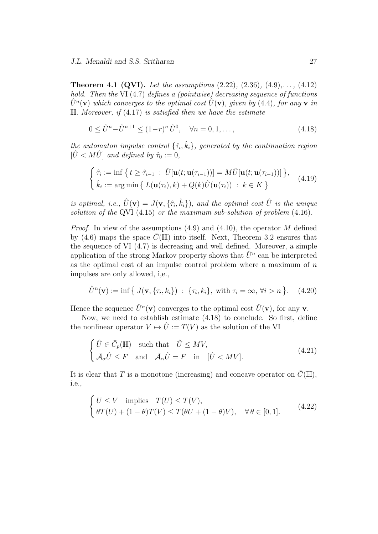**Theorem 4.1 (QVI).** *Let the assumptions* (2.22)*,* (2.36)*,* (4.9)*,. . . ,* (4.12) *hold. Then the* VI (4.7) *defines a (pointwise) decreasing sequence of functions*  $\hat{U}^n(\mathbf{v})$  which converges to the optimal cost  $\hat{U}(\mathbf{v})$ , given by (4.4), for any **v** in H*. Moreover, if* (4.17) *is satisfied then we have the estimate*

$$
0 \leq \hat{U}^n - \hat{U}^{n+1} \leq (1-r)^n \hat{U}^0, \quad \forall n = 0, 1, ..., \tag{4.18}
$$

*the automaton impulse control*  $\{\hat{\tau}_i, \hat{k}_i\}$ , generated by the continuation region  $[\hat{U} \lt M \hat{U}]$  *and defined by*  $\hat{\tau}_0 := 0$ ,

$$
\begin{cases} \hat{\tau}_i := \inf \left\{ t \ge \hat{\tau}_{i-1} \, : \, \hat{U}[\mathbf{u}(t; \mathbf{u}(\tau_{i-1}))] = M \hat{U}[\mathbf{u}(t; \mathbf{u}(\tau_{i-1}))] \right\}, \\ \hat{k}_i := \arg \min \left\{ L(\mathbf{u}(\tau_i), k) + Q(k) \hat{U}(\mathbf{u}(\tau_i)) \, : \, k \in K \right\} \end{cases} \tag{4.19}
$$

*is optimal, i.e.,*  $\hat{U}(\mathbf{v}) = J(\mathbf{v}, {\hat{\tau}_i, \hat{k}_i})$ , and the optimal cost  $\hat{U}$  *is the unique solution of the* QVI (4.15) *or the maximum sub-solution of problem* (4.16)*.*

*Proof.* In view of the assumptions (4.9) and (4.10), the operator *M* defined by  $(4.6)$  maps the space  $C(\mathbb{H})$  into itself. Next, Theorem 3.2 ensures that the sequence of VI (4.7) is decreasing and well defined. Moreover, a simple application of the strong Markov property shows that  $\hat{U}^n$  can be interpreted as the optimal cost of an impulse control problem where a maximum of *n* impulses are only allowed, i,e.,

$$
\hat{U}^n(\mathbf{v}) := \inf \left\{ J(\mathbf{v}, \{\tau_i, k_i\}) \; : \; \{\tau_i, k_i\}, \; \text{with } \tau_i = \infty, \, \forall i > n \right\}. \tag{4.20}
$$

Hence the sequence  $\hat{U}^n(\mathbf{v})$  converges to the optimal cost  $\hat{U}(\mathbf{v})$ , for any **v**.

Now, we need to establish estimate (4.18) to conclude. So first, define the nonlinear operator  $V \mapsto \hat{U} := T(V)$  as the solution of the VI

$$
\begin{cases} \hat{U} \in \bar{C}_p(\mathbb{H}) & \text{such that} \quad \hat{U} \le MV, \\ \bar{A}_\alpha \hat{U} \le F & \text{and} \quad \bar{A}_\alpha \hat{U} = F & \text{in} \quad [\hat{U} < MV]. \end{cases} \tag{4.21}
$$

It is clear that *T* is a monotone (increasing) and concave operator on  $\overline{C}(\mathbb{H})$ , i.e.,

$$
\begin{cases}\nU \le V & \text{implies} \quad T(U) \le T(V), \\
\theta T(U) + (1 - \theta)T(V) \le T(\theta U + (1 - \theta)V), \quad \forall \theta \in [0, 1].\n\end{cases} \tag{4.22}
$$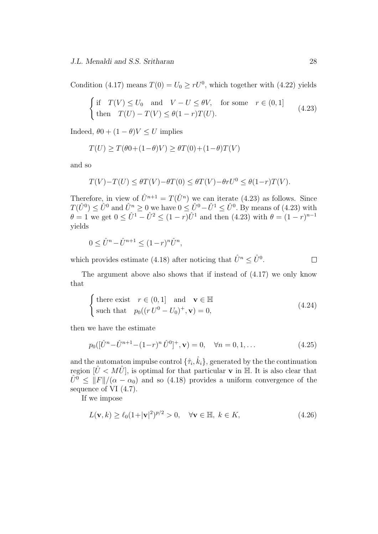Condition (4.17) means  $T(0) = U_0 \geq rU^0$ , which together with (4.22) yields

$$
\begin{cases}\n\text{if } T(V) \le U_0 \quad \text{and} \quad V - U \le \theta V, \quad \text{for some} \quad r \in (0, 1] \\
\text{then } T(U) - T(V) \le \theta (1 - r)T(U).\n\end{cases} \tag{4.23}
$$

Indeed,  $\theta$ 0 +  $(1 - \theta)V \leq U$  implies

$$
T(U) \ge T(\theta 0 + (1 - \theta)V) \ge \theta T(0) + (1 - \theta)T(V)
$$

and so

$$
T(V) - T(U) \leq \theta T(V) - \theta T(0) \leq \theta T(V) - \theta r U^0 \leq \theta (1 - r) T(V).
$$

Therefore, in view of  $\hat{U}^{n+1} = T(\hat{U}^n)$  we can iterate (4.23) as follows. Since  $T(\hat{U}^0) \leq \hat{U}^0$  and  $\hat{U}^n \geq 0$  we have  $0 \leq \hat{U}^0 - \hat{U}^1 \leq \hat{U}^0$ . By means of (4.23) with  $\theta = 1$  we get  $0 \leq \hat{U}^1 - \hat{U}^2 \leq (1 - r)\hat{U}^1$  and then  $(4.23)$  with  $\theta = (1 - r)^{n-1}$ yields

$$
0 \le \hat{U}^n - \hat{U}^{n+1} \le (1-r)^n \hat{U}^n,
$$

which provides estimate (4.18) after noticing that  $\hat{U}^n \leq \hat{U}^0$ .

The argument above also shows that if instead of (4.17) we only know that

$$
\begin{cases} \text{there exist} & r \in (0,1] \quad \text{and} \quad \mathbf{v} \in \mathbb{H} \\ \text{such that} & p_0((r\,U^0 - U_0)^+, \mathbf{v}) = 0, \end{cases} \tag{4.24}
$$

then we have the estimate

$$
p_0([\hat{U}^n - \hat{U}^{n+1} - (1-r)^n \hat{U}^0]^+, \mathbf{v}) = 0, \quad \forall n = 0, 1, ... \tag{4.25}
$$

and the automaton impulse control  $\{\hat{\tau}_i, \hat{k}_i\}$ , generated by the the continuation region  $[\hat{U} \langle M\hat{U}]\rangle$ , is optimal for that particular **v** in H. It is also clear that  $\hat{U}^0 \leq ||F||/(\alpha - \alpha_0)$  and so (4.18) provides a uniform convergence of the sequence of VI (4.7).

If we impose

$$
L(\mathbf{v},k) \ge \ell_0 (1+|\mathbf{v}|^2)^{p/2} > 0, \quad \forall \mathbf{v} \in \mathbb{H}, \ k \in K,
$$
\n(4.26)

 $\Box$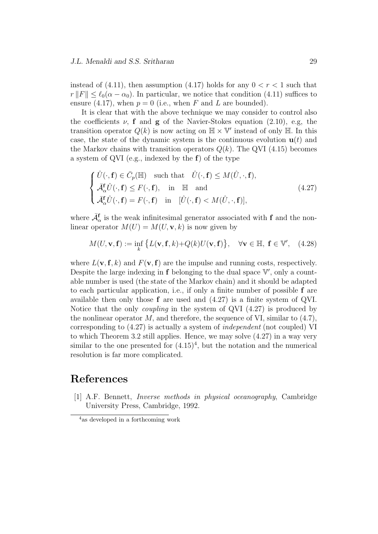instead of  $(4.11)$ , then assumption  $(4.17)$  holds for any  $0 < r < 1$  such that  $r \|F\| \leq \ell_0(\alpha - \alpha_0)$ . In particular, we notice that condition (4.11) suffices to ensure (4.17), when  $p = 0$  (i.e., when *F* and *L* are bounded).

It is clear that with the above technique we may consider to control also the coefficients  $\nu$ , **f** and **g** of the Navier-Stokes equation (2.10), e.g, the transition operator  $Q(k)$  is now acting on  $\mathbb{H} \times \mathbb{V}'$  instead of only  $\mathbb{H}$ . In this case, the state of the dynamic system is the continuous evolution  $\mathbf{u}(t)$  and the Markov chains with transition operators  $Q(k)$ . The QVI (4.15) becomes a system of QVI (e.g., indexed by the **f**) of the type

$$
\begin{cases}\n\hat{U}(\cdot, \mathbf{f}) \in \bar{C}_p(\mathbb{H}) \quad \text{such that} \quad \hat{U}(\cdot, \mathbf{f}) \le M(\hat{U}, \cdot, \mathbf{f}), \\
\bar{\mathcal{A}}_a^{\mathbf{f}} \hat{U}(\cdot, \mathbf{f}) \le F(\cdot, \mathbf{f}), \quad \text{in} \quad \mathbb{H} \quad \text{and} \\
\bar{\mathcal{A}}_a^{\mathbf{f}} \hat{U}(\cdot, \mathbf{f}) = F(\cdot, \mathbf{f}) \quad \text{in} \quad [\hat{U}(\cdot, \mathbf{f}) < M(\hat{U}, \cdot, \mathbf{f})],\n\end{cases} \tag{4.27}
$$

where  $\bar{\mathcal{A}}_{\alpha}^{\mathbf{f}}$  is the weak infinitesimal generator associated with **f** and the nonlinear operator  $M(U) = M(U, \mathbf{v}, k)$  is now given by

$$
M(U, \mathbf{v}, \mathbf{f}) := \inf_{k} \left\{ L(\mathbf{v}, \mathbf{f}, k) + Q(k)U(\mathbf{v}, \mathbf{f}) \right\}, \quad \forall \mathbf{v} \in \mathbb{H}, \ \mathbf{f} \in \mathbb{V}', \quad (4.28)
$$

where  $L(\mathbf{v}, \mathbf{f}, k)$  and  $F(\mathbf{v}, \mathbf{f})$  are the impulse and running costs, respectively. Despite the large indexing in **f** belonging to the dual space V *′ ,* only a countable number is used (the state of the Markov chain) and it should be adapted to each particular application, i.e., if only a finite number of possible **f** are available then only those **f** are used and (4.27) is a finite system of QVI. Notice that the only *coupling* in the system of QVI (4.27) is produced by the nonlinear operator  $M$ , and therefore, the sequence of VI, similar to  $(4.7)$ , corresponding to (4.27) is actually a system of *independent* (not coupled) VI to which Theorem 3.2 still applies. Hence, we may solve (4.27) in a way very similar to the one presented for  $(4.15)^4$ , but the notation and the numerical resolution is far more complicated.

### **References**

[1] A.F. Bennett, *Inverse methods in physical oceanography*, Cambridge University Press, Cambridge, 1992.

<sup>4</sup>as developed in a forthcoming work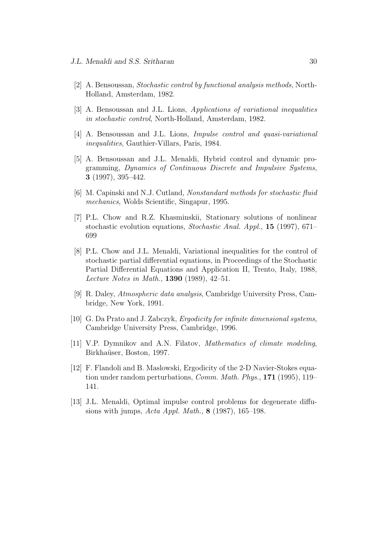- [2] A. Bensoussan, *Stochastic control by functional analysis methods*, North-Holland, Amsterdam, 1982.
- [3] A. Bensoussan and J.L. Lions, *Applications of variational inequalities in stochastic control*, North-Holland, Amsterdam, 1982.
- [4] A. Bensoussan and J.L. Lions, *Impulse control and quasi-variational inequalities*, Gauthier-Villars, Paris, 1984.
- [5] A. Bensoussan and J.L. Menaldi, Hybrid control and dynamic programming, *Dynamics of Continuous Discrete and Impulsive Systems*, **3** (1997), 395–442.
- [6] M. Capinski and N.J. Cutland, *Nonstandard methods for stochastic fluid mechanics*, Wolds Scientific, Singapur, 1995.
- [7] P.L. Chow and R.Z. Khasminskii, Stationary solutions of nonlinear stochastic evolution equations, *Stochastic Anal. Appl.*, **15** (1997), 671– 699
- [8] P.L. Chow and J.L. Menaldi, Variational inequalities for the control of stochastic partial differential equations, in Proceedings of the Stochastic Partial Differential Equations and Application II, Trento, Italy, 1988, *Lecture Notes in Math.*, **1390** (1989), 42–51.
- [9] R. Daley, *Atmospheric data analysis*, Cambridge University Press, Cambridge, New York, 1991.
- [10] G. Da Prato and J. Zabczyk, *Ergodicity for infinite dimensional systems*, Cambridge University Press, Cambridge, 1996.
- [11] V.P. Dymnikov and A.N. Filatov, *Mathematics of climate modeling*, Birkhaüser, Boston, 1997.
- [12] F. Flandoli and B. Maslowski, Ergodicity of the 2-D Navier-Stokes equation under random perturbations, *Comm. Math. Phys.*, **171** (1995), 119– 141.
- [13] J.L. Menaldi, Optimal impulse control problems for degenerate diffusions with jumps, *Acta Appl. Math.*, **8** (1987), 165–198.